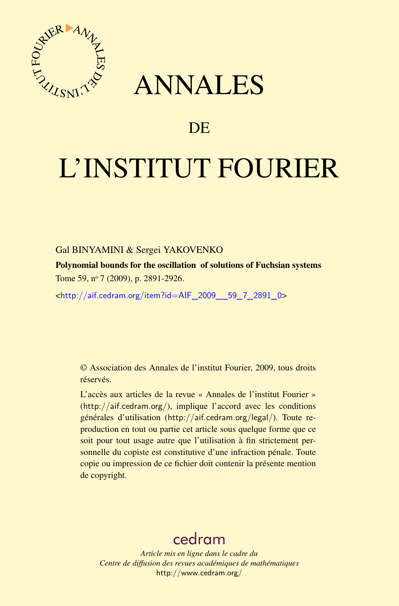

## ANNALES

## **DE**

# L'INSTITUT FOURIER

#### Gal BINYAMINI & Sergei YAKOVENKO

Polynomial bounds for the oscillation of solutions of Fuchsian systems Tome 59, nº 7 (2009), p. 2891-2926.

<[http://aif.cedram.org/item?id=AIF\\_2009\\_\\_59\\_7\\_2891\\_0](http://aif.cedram.org/item?id=AIF_2009__59_7_2891_0)>

© Association des Annales de l'institut Fourier, 2009, tous droits réservés.

L'accès aux articles de la revue « Annales de l'institut Fourier » (<http://aif.cedram.org/>), implique l'accord avec les conditions générales d'utilisation (<http://aif.cedram.org/legal/>). Toute reproduction en tout ou partie cet article sous quelque forme que ce soit pour tout usage autre que l'utilisation à fin strictement personnelle du copiste est constitutive d'une infraction pénale. Toute copie ou impression de ce fichier doit contenir la présente mention de copyright.

## [cedram](http://www.cedram.org/)

*Article mis en ligne dans le cadre du Centre de diffusion des revues académiques de mathématiques* <http://www.cedram.org/>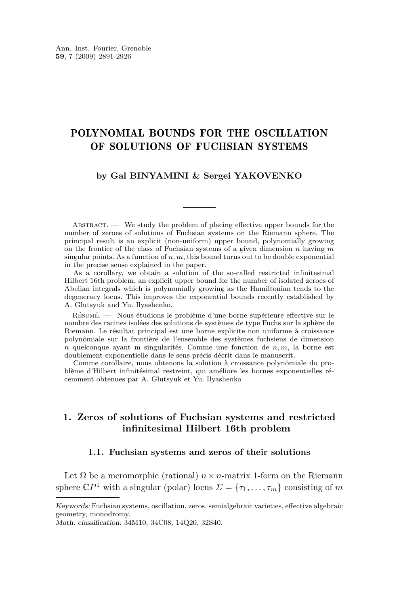### POLYNOMIAL BOUNDS FOR THE OSCILLATION OF SOLUTIONS OF FUCHSIAN SYSTEMS

#### **by Gal BINYAMINI & Sergei YAKOVENKO**

 $ABSTRACT.$  We study the problem of placing effective upper bounds for the number of zeroes of solutions of Fuchsian systems on the Riemann sphere. The principal result is an explicit (non-uniform) upper bound, polynomially growing on the frontier of the class of Fuchsian systems of a given dimension *n* having *m* singular points. As a function of  $n, m$ , this bound turns out to be double exponential in the precise sense explained in the paper.

As a corollary, we obtain a solution of the so-called restricted infinitesimal Hilbert 16th problem, an explicit upper bound for the number of isolated zeroes of Abelian integrals which is polynomially growing as the Hamiltonian tends to the degeneracy locus. This improves the exponential bounds recently established by A. Glutsyuk and Yu. Ilyashenko.

Résumé. — Nous étudions le problème d'une borne supérieure effective sur le nombre des racines isolées des solutions de systèmes de type Fuchs sur la sphère de Riemann. Le résultat principal est une borne explicite non uniforme à croissance polynômiale sur la frontière de l'ensemble des systèmes fuchsiens de dimension *n* quelconque ayant m singularités. Comme une fonction de *n, m*, la borne est doublement exponentielle dans le sens précis décrit dans le manuscrit.

Comme corollaire, nous obtenons la solution à croissance polynômiale du problème d'Hilbert infinitésimal restreint, qui améliore les bornes exponentielles récemment obtenues par A. Glutsyuk et Yu. Ilyashenko

#### **1. Zeros of solutions of Fuchsian systems and restricted infinitesimal Hilbert 16th problem**

#### **1.1. Fuchsian systems and zeros of their solutions**

Let  $\Omega$  be a meromorphic (rational)  $n \times n$ -matrix 1-form on the Riemann sphere  $\mathbb{C}P^1$  with a singular (polar) locus  $\Sigma = {\tau_1, \ldots, \tau_m}$  consisting of *m* 

Keywords: Fuchsian systems, oscillation, zeros, semialgebraic varieties, effective algebraic geometry, monodromy.

Math. classification: 34M10, 34C08, 14Q20, 32S40.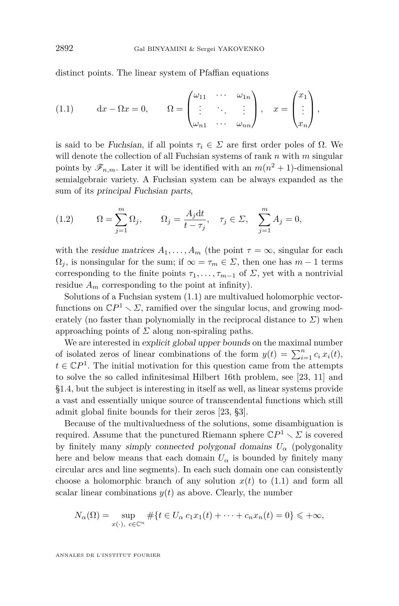<span id="page-2-0"></span>distinct points. The linear system of Pfaffian equations

(1.1) 
$$
dx - \Omega x = 0, \qquad \Omega = \begin{pmatrix} \omega_{11} & \cdots & \omega_{1n} \\ \vdots & \ddots & \vdots \\ \omega_{n1} & \cdots & \omega_{nn} \end{pmatrix}, \quad x = \begin{pmatrix} x_1 \\ \vdots \\ x_n \end{pmatrix},
$$

is said to be Fuchsian, if all points *τ<sup>i</sup> ∈ Σ* are first order poles of Ω. We will denote the collection of all Fuchsian systems of rank *n* with *m* singular points by  $\mathscr{F}_{n,m}$ . Later it will be identified with an  $m(n^2+1)$ -dimensional semialgebraic variety. A Fuchsian system can be always expanded as the sum of its principal Fuchsian parts,

(1.2) 
$$
\Omega = \sum_{j=1}^{m} \Omega_j, \qquad \Omega_j = \frac{A_j dt}{t - \tau_j}, \quad \tau_j \in \Sigma, \quad \sum_{j=1}^{m} A_j = 0,
$$

with the residue matrices  $A_1, \ldots, A_m$  (the point  $\tau = \infty$ , singular for each  $\Omega_j$ , is nonsingular for the sum; if  $\infty = \tau_m \in \Sigma$ , then one has  $m-1$  terms corresponding to the finite points  $\tau_1, \ldots, \tau_{m-1}$  of  $\Sigma$ , yet with a nontrivial residue  $A_m$  corresponding to the point at infinity).

Solutions of a Fuchsian system (1.1) are multivalued holomorphic vectorfunctions on  $\mathbb{C}P^1 \setminus \mathbb{Z}$ , ramified over the singular locus, and growing moderately (no faster than polynomially in the reciprocal distance to  $\Sigma$ ) when approaching points of *Σ* along non-spiraling paths.

We are interested in explicit global upper bounds on the maximal number of isolated zeros of linear combinations of the form  $y(t) = \sum_{i=1}^{n} c_i x_i(t)$ ,  $t \in \mathbb{C}P^1$ . The initial motivation for this question came from the attempts to solve the so called infinitesimal Hilbert 16th problem, see [\[23,](#page-36-0) [11\]](#page-35-0) and [§1.4,](#page-6-0) but the subject is interesting in itself as well, as linear systems provide a vast and essentially unique source of transcendental functions which still admit global finite bounds for their zeros [\[23,](#page-36-0) §3].

Because of the multivaluedness of the solutions, some disambiguation is required. Assume that the punctured Riemann sphere  $\mathbb{C}P^1 \setminus \mathcal{Z}$  is covered by finitely many simply connected polygonal domains  $U_{\alpha}$  (polygonality here and below means that each domain  $U_{\alpha}$  is bounded by finitely many circular arcs and line segments). In each such domain one can consistently choose a holomorphic branch of any solution  $x(t)$  to (1.1) and form all scalar linear combinations  $y(t)$  as above. Clearly, the number

$$
N_{\alpha}(\Omega) = \sup_{x(\cdot), c \in \mathbb{C}^n} \# \{ t \in U_{\alpha} c_1 x_1(t) + \dots + c_n x_n(t) = 0 \} \leqslant +\infty,
$$

ANNALES DE L'INSTITUT FOURIER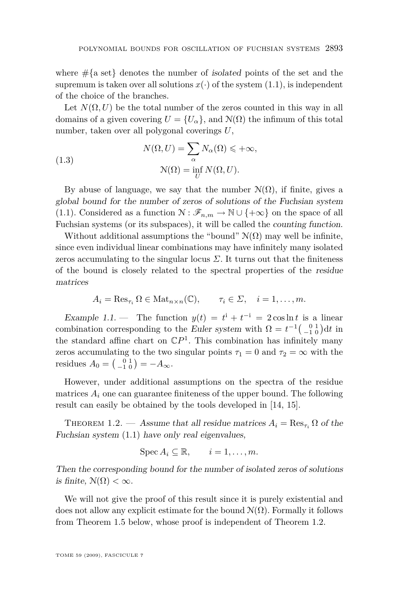<span id="page-3-0"></span>where  $\#\{a \text{ set}\}\$  denotes the number of *isolated* points of the set and the supremum is taken over all solutions  $x(\cdot)$  of the system  $(1.1)$ , is independent of the choice of the branches.

Let  $N(\Omega, U)$  be the total number of the zeros counted in this way in all domains of a given covering  $U = \{U_{\alpha}\}\text{, and } \mathcal{N}(\Omega)$  the infimum of this total number, taken over all polygonal coverings *U*,

(1.3) 
$$
N(\Omega, U) = \sum_{\alpha} N_{\alpha}(\Omega) \leqslant +\infty,
$$

$$
N(\Omega) = \inf_{U} N(\Omega, U).
$$

By abuse of language, we say that the number  $\mathcal{N}(\Omega)$ , if finite, gives a global bound for the number of zeros of solutions of the Fuchsian system [\(1.1\)](#page-2-0). Considered as a function  $\mathcal{N} : \mathscr{F}_{n,m} \to \mathbb{N} \cup \{+\infty\}$  on the space of all Fuchsian systems (or its subspaces), it will be called the counting function.

Without additional assumptions the "bound"  $\mathcal{N}(\Omega)$  may well be infinite, since even individual linear combinations may have infinitely many isolated zeros accumulating to the singular locus  $\Sigma$ . It turns out that the finiteness of the bound is closely related to the spectral properties of the residue matrices

$$
A_i = \operatorname{Res}_{\tau_i} \Omega \in \operatorname{Mat}_{n \times n}(\mathbb{C}), \qquad \tau_i \in \Sigma, \quad i = 1, \dots, m.
$$

Example 1.1. — The function  $y(t) = t^i + t^{-i} = 2 \cos \ln t$  is a linear combination corresponding to the Euler system with  $\Omega = t^{-1} \begin{pmatrix} 0 & 1 \\ -1 & 0 \end{pmatrix} dt$  in the standard affine chart on  $\mathbb{C}P^1$ . This combination has infinitely many zeros accumulating to the two singular points  $\tau_1 = 0$  and  $\tau_2 = \infty$  with the residues  $A_0 = \begin{pmatrix} 0 & 1 \\ -1 & 0 \end{pmatrix} = -A_{\infty}$ .

However, under additional assumptions on the spectra of the residue matrices  $A_i$  one can guarantee finiteness of the upper bound. The following result can easily be obtained by the tools developed in [\[14,](#page-35-0) [15\]](#page-35-0).

THEOREM 1.2. — Assume that all residue matrices  $A_i = \text{Res}_{\tau_i} \Omega$  of the Fuchsian system [\(1.1\)](#page-2-0) have only real eigenvalues,

$$
\operatorname{Spec} A_i \subseteq \mathbb{R}, \qquad i = 1, \ldots, m.
$$

Then the corresponding bound for the number of isolated zeros of solutions is finite,  $\mathcal{N}(\Omega) < \infty$ .

We will not give the proof of this result since it is purely existential and does not allow any explicit estimate for the bound  $\mathcal{N}(\Omega)$ . Formally it follows from Theorem [1.5](#page-5-0) below, whose proof is independent of Theorem 1.2.

TOME 59 (2009), FASCICULE 7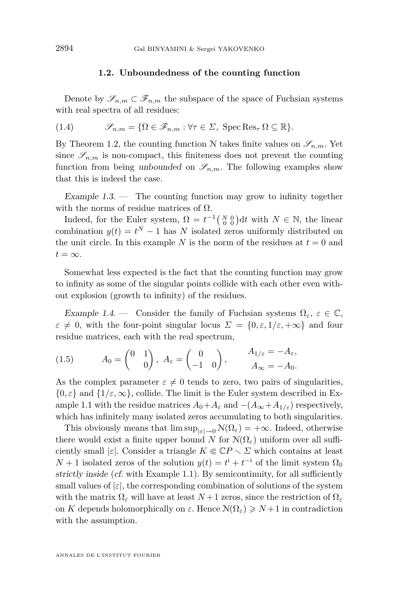#### **1.2. Unboundedness of the counting function**

<span id="page-4-0"></span>Denote by  $\mathscr{S}_{n,m} \subset \mathscr{F}_{n,m}$  the subspace of the space of Fuchsian systems with real spectra of all residues:

(1.4) 
$$
\mathscr{S}_{n,m} = \{ \Omega \in \mathscr{F}_{n,m} : \forall \tau \in \Sigma, \text{ Spec Res}_{\tau} \Omega \subseteq \mathbb{R} \}.
$$

By Theorem [1.2,](#page-3-0) the counting function N takes finite values on  $\mathscr{S}_{n,m}$ . Yet since  $\mathscr{S}_{n,m}$  is non-compact, this finiteness does not prevent the counting function from being unbounded on  $\mathscr{S}_{n,m}$ . The following examples show that this is indeed the case.

Example  $1.3$ . — The counting function may grow to infinity together with the norms of residue matrices of  $\Omega$ .

Indeed, for the Euler system,  $\Omega = t^{-1} \begin{pmatrix} N & 0 \\ 0 & 0 \end{pmatrix} dt$  with  $N \in \mathbb{N}$ , the linear combination  $y(t) = t^N - 1$  has *N* isolated zeros uniformly distributed on the unit circle. In this example *N* is the norm of the residues at  $t = 0$  and  $t = \infty$ .

Somewhat less expected is the fact that the counting function may grow to infinity as some of the singular points collide with each other even without explosion (growth to infinity) of the residues.

Example 1.4. — Consider the family of Fuchsian systems  $\Omega_{\varepsilon}$ ,  $\varepsilon \in \mathbb{C}$ ,  $\varepsilon \neq 0$ , with the four-point singular locus  $\Sigma = \{0, \varepsilon, 1/\varepsilon, +\infty\}$  and four residue matrices, each with the real spectrum,

(1.5) 
$$
A_0 = \begin{pmatrix} 0 & 1 \\ & 0 \end{pmatrix}, A_\varepsilon = \begin{pmatrix} 0 & 0 \\ -1 & 0 \end{pmatrix}, \qquad \begin{array}{l} A_{1/\varepsilon} = -A_\varepsilon, \\ A_\infty = -A_0. \end{array}
$$

As the complex parameter  $\varepsilon \neq 0$  tends to zero, two pairs of singularities,  $\{0, \varepsilon\}$  and  $\{1/\varepsilon, \infty\}$ , collide. The limit is the Euler system described in Ex-ample [1.1](#page-3-0) with the residue matrices  $A_0 + A_\varepsilon$  and  $-(A_\infty + A_{1/\varepsilon})$  respectively, which has infinitely many isolated zeros accumulating to both singularities.

This obviously means that  $\limsup_{|\varepsilon| \to 0} \mathcal{N}(\Omega_{\varepsilon}) = +\infty$ . Indeed, otherwise there would exist a finite upper bound *N* for  $\mathcal{N}(\Omega_{\varepsilon})$  uniform over all sufficiently small  $|\varepsilon|$ . Consider a triangle  $K \in \mathbb{C}P \setminus \Sigma$  which contains at least *N* + 1 isolated zeros of the solution  $y(t) = t^i + t^{-i}$  of the limit system  $\Omega_0$ strictly inside (cf. with Example [1.1\)](#page-3-0). By semicontinuity, for all sufficiently small values of  $|\varepsilon|$ , the corresponding combination of solutions of the system with the matrix  $\Omega_{\varepsilon}$  will have at least  $N+1$  zeros, since the restriction of  $\Omega_{\varepsilon}$ on *K* depends holomorphically on  $\varepsilon$ . Hence  $\mathcal{N}(\Omega_{\varepsilon}) \geq N+1$  in contradiction with the assumption.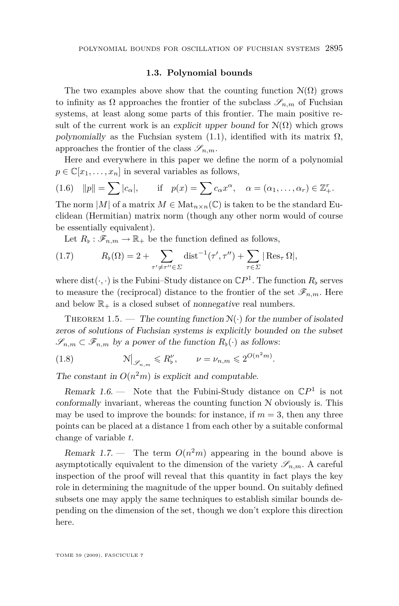#### **1.3. Polynomial bounds**

<span id="page-5-0"></span>The two examples above show that the counting function  $\mathcal{N}(\Omega)$  grows to infinity as  $\Omega$  approaches the frontier of the subclass  $\mathscr{S}_{n,m}$  of Fuchsian systems, at least along some parts of this frontier. The main positive result of the current work is an explicit upper bound for  $\mathcal{N}(\Omega)$  which grows polynomially as the Fuchsian system  $(1.1)$ , identified with its matrix  $\Omega$ , approaches the frontier of the class  $\mathscr{S}_{n,m}$ .

Here and everywhere in this paper we define the norm of a polynomial  $p \in \mathbb{C}[x_1, \ldots, x_n]$  in several variables as follows,

(1.6) 
$$
||p|| = \sum |c_{\alpha}|
$$
, if  $p(x) = \sum c_{\alpha} x^{\alpha}$ ,  $\alpha = (\alpha_1, ..., \alpha_r) \in \mathbb{Z}_+^r$ .

The norm  $|M|$  of a matrix  $M \in Mat_{n \times n}(\mathbb{C})$  is taken to be the standard Euclidean (Hermitian) matrix norm (though any other norm would of course be essentially equivalent).

Let  $R_{\flat}: \mathscr{F}_{n,m} \to \mathbb{R}_{+}$  be the function defined as follows,

(1.7) 
$$
R_{\flat}(\Omega) = 2 + \sum_{\tau' \neq \tau'' \in \Sigma} \text{dist}^{-1}(\tau', \tau'') + \sum_{\tau \in \Sigma} |\text{Res}_{\tau} \Omega|,
$$

where  $dist(\cdot, \cdot)$  is the Fubini–Study distance on  $\mathbb{C}P^1$ . The function  $R_\flat$  serves to measure the (reciprocal) distance to the frontier of the set  $\mathscr{F}_{n,m}$ . Here and below  $\mathbb{R}_+$  is a closed subset of nonnegative real numbers.

THEOREM 1.5. — The counting function  $\mathcal{N}(\cdot)$  for the number of isolated zeros of solutions of Fuchsian systems is explicitly bounded on the subset  $\mathscr{S}_{n,m} \subset \mathscr{F}_{n,m}$  by a power of the function  $R_\flat(\cdot)$  as follows:

 $(1.8)$  $\Big|_{\mathscr{S}_{n,m}} \leqslant R_{\flat}^{\nu}, \qquad \nu = \nu_{n,m} \leqslant 2^{O(n^2m)}.$ 

The constant in  $O(n^2m)$  is explicit and computable.

Remark 1.6.  $\longrightarrow$  Note that the Fubini-Study distance on  $\mathbb{C}P^1$  is not conformally invariant, whereas the counting function  $N$  obviously is. This may be used to improve the bounds: for instance, if  $m = 3$ , then any three points can be placed at a distance 1 from each other by a suitable conformal change of variable *t*.

Remark 1.7. – The term  $O(n^2m)$  appearing in the bound above is asymptotically equivalent to the dimension of the variety  $\mathscr{S}_{n,m}$ . A careful inspection of the proof will reveal that this quantity in fact plays the key role in determining the magnitude of the upper bound. On suitably defined subsets one may apply the same techniques to establish similar bounds depending on the dimension of the set, though we don't explore this direction here.

TOME 59 (2009), FASCICULE 7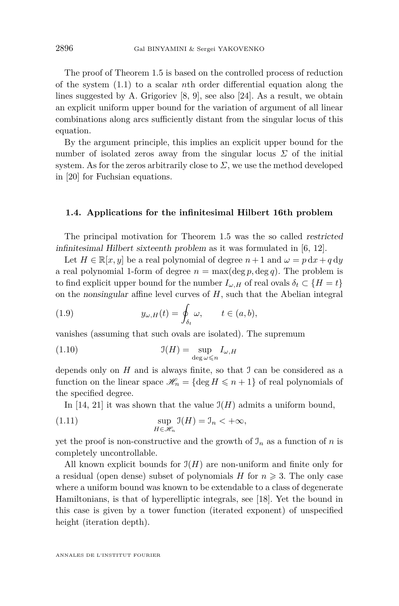<span id="page-6-0"></span>The proof of Theorem [1.5](#page-5-0) is based on the controlled process of reduction of the system [\(1.1\)](#page-2-0) to a scalar *n*th order differential equation along the lines suggested by A. Grigoriev [\[8,](#page-35-0) [9\]](#page-35-0), see also [\[24\]](#page-36-0). As a result, we obtain an explicit uniform upper bound for the variation of argument of all linear combinations along arcs sufficiently distant from the singular locus of this equation.

By the argument principle, this implies an explicit upper bound for the number of isolated zeros away from the singular locus  $\Sigma$  of the initial system. As for the zeros arbitrarily close to  $\Sigma$ , we use the method developed in [\[20\]](#page-36-0) for Fuchsian equations.

#### **1.4. Applications for the infinitesimal Hilbert 16th problem**

The principal motivation for Theorem [1.5](#page-5-0) was the so called restricted infinitesimal Hilbert sixteenth problem as it was formulated in [\[6,](#page-35-0) [12\]](#page-35-0).

Let  $H \in \mathbb{R}[x, y]$  be a real polynomial of degree  $n+1$  and  $\omega = p \, dx + q \, du$ a real polynomial 1-form of degree  $n = \max(\deg p, \deg q)$ . The problem is to find explicit upper bound for the number  $I_{\omega,H}$  of real ovals  $\delta_t \subset \{H = t\}$ on the nonsingular affine level curves of *H*, such that the Abelian integral

(1.9) 
$$
y_{\omega,H}(t) = \oint_{\delta_t} \omega, \qquad t \in (a,b),
$$

vanishes (assuming that such ovals are isolated). The supremum

(1.10) 
$$
\mathfrak{I}(H) = \sup_{\deg \omega \leq n} I_{\omega, H}
$$

depends only on  $H$  and is always finite, so that  $\mathcal I$  can be considered as a function on the linear space  $\mathcal{H}_n = {\text{deg } H \leq n + 1}$  of real polynomials of the specified degree.

In [\[14,](#page-35-0) [21\]](#page-36-0) it was shown that the value  $\mathfrak{I}(H)$  admits a uniform bound,

(1.11) 
$$
\sup_{H \in \mathcal{H}_n} \mathfrak{I}(H) = \mathfrak{I}_n < +\infty,
$$

yet the proof is non-constructive and the growth of  $\mathcal{I}_n$  as a function of *n* is completely uncontrollable.

All known explicit bounds for  $\mathfrak{I}(H)$  are non-uniform and finite only for a residual (open dense) subset of polynomials *H* for  $n \geqslant 3$ . The only case where a uniform bound was known to be extendable to a class of degenerate Hamiltonians, is that of hyperelliptic integrals, see [\[18\]](#page-36-0). Yet the bound in this case is given by a tower function (iterated exponent) of unspecified height (iteration depth).

ANNALES DE L'INSTITUT FOURIER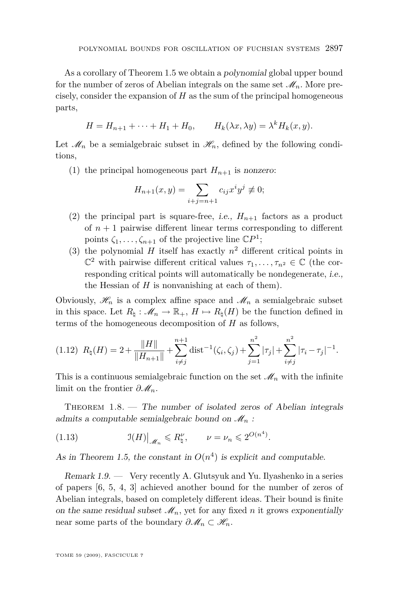<span id="page-7-0"></span>As a corollary of Theorem [1.5](#page-5-0) we obtain a polynomial global upper bound for the number of zeros of Abelian integrals on the same set  $\mathcal{M}_n$ . More precisely, consider the expansion of *H* as the sum of the principal homogeneous parts,

$$
H = H_{n+1} + \cdots + H_1 + H_0, \qquad H_k(\lambda x, \lambda y) = \lambda^k H_k(x, y).
$$

Let  $\mathcal{M}_n$  be a semialgebraic subset in  $\mathcal{H}_n$ , defined by the following conditions,

(1) the principal homogeneous part  $H_{n+1}$  is nonzero:

$$
H_{n+1}(x, y) = \sum_{i+j=n+1} c_{ij} x^{i} y^{j} \neq 0;
$$

- (2) the principal part is square-free, *i.e.*,  $H_{n+1}$  factors as a product of  $n + 1$  pairwise different linear terms corresponding to different points  $\zeta_1, \ldots, \zeta_{n+1}$  of the projective line  $\mathbb{C}P^1$ ;
- (3) the polynomial *H* itself has exactly  $n^2$  different critical points in  $\mathbb{C}^2$  with pairwise different critical values  $\tau_1, \ldots, \tau_{n^2} \in \mathbb{C}$  (the corresponding critical points will automatically be nondegenerate, i.e., the Hessian of  $H$  is nonvanishing at each of them).

Obviously,  $\mathcal{H}_n$  is a complex affine space and  $\mathcal{M}_n$  a semialgebraic subset in this space. Let  $R_\natural : \mathcal{M}_n \to \mathbb{R}_+$ ,  $H \mapsto R_\natural(H)$  be the function defined in terms of the homogeneous decomposition of *H* as follows,

$$
(1.12) \ \ R_{\natural}(H) = 2 + \frac{\|H\|}{\|H_{n+1}\|} + \sum_{i \neq j}^{n+1} \text{dist}^{-1}(\zeta_i, \zeta_j) + \sum_{j=1}^{n^2} |\tau_j| + \sum_{i \neq j}^{n^2} |\tau_i - \tau_j|^{-1}.
$$

This is a continuous semialgebraic function on the set  $\mathcal{M}_n$  with the infinite limit on the frontier  $\partial M_n$ .

THEOREM  $1.8.$  — The number of isolated zeros of Abelian integrals admits a computable semialgebraic bound on  $\mathcal{M}_n$ :

(1.13) 
$$
\mathfrak{I}(H)|_{\mathscr{M}_n} \leq R_{\natural}^{\nu}, \qquad \nu = \nu_n \leq 2^{O(n^4)}.
$$

As in Theorem [1.5,](#page-5-0) the constant in  $O(n^4)$  is explicit and computable.

Remark  $1.9.$  — Very recently A. Glutsyuk and Yu. Ilyashenko in a series of papers [\[6,](#page-35-0) [5,](#page-35-0) [4,](#page-35-0) [3\]](#page-35-0) achieved another bound for the number of zeros of Abelian integrals, based on completely different ideas. Their bound is finite on the same residual subset  $\mathcal{M}_n$ , yet for any fixed *n* it grows exponentially near some parts of the boundary  $\partial M_n \subset \mathcal{H}_n$ .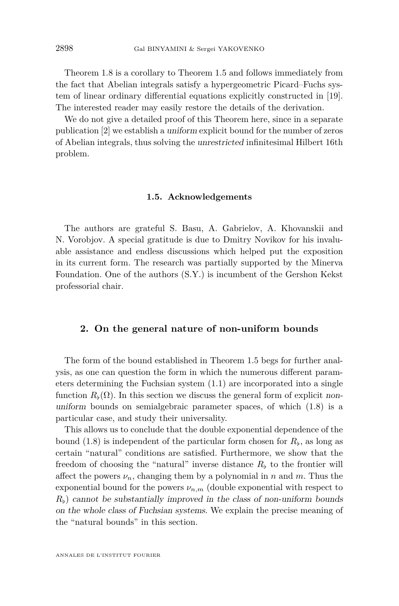Theorem [1.8](#page-7-0) is a corollary to Theorem [1.5](#page-5-0) and follows immediately from the fact that Abelian integrals satisfy a hypergeometric Picard–Fuchs system of linear ordinary differential equations explicitly constructed in [\[19\]](#page-36-0). The interested reader may easily restore the details of the derivation.

We do not give a detailed proof of this Theorem here, since in a separate publication [\[2\]](#page-35-0) we establish a uniform explicit bound for the number of zeros of Abelian integrals, thus solving the unrestricted infinitesimal Hilbert 16th problem.

#### **1.5. Acknowledgements**

The authors are grateful S. Basu, A. Gabrielov, A. Khovanskii and N. Vorobjov. A special gratitude is due to Dmitry Novikov for his invaluable assistance and endless discussions which helped put the exposition in its current form. The research was partially supported by the Minerva Foundation. One of the authors (S.Y.) is incumbent of the Gershon Kekst professorial chair.

#### **2. On the general nature of non-uniform bounds**

The form of the bound established in Theorem [1.5](#page-5-0) begs for further analysis, as one can question the form in which the numerous different parameters determining the Fuchsian system [\(1.1\)](#page-2-0) are incorporated into a single function  $R_b(\Omega)$ . In this section we discuss the general form of explicit nonuniform bounds on semialgebraic parameter spaces, of which [\(1.8\)](#page-5-0) is a particular case, and study their universality.

This allows us to conclude that the double exponential dependence of the bound  $(1.8)$  is independent of the particular form chosen for  $R_{\flat}$ , as long as certain "natural" conditions are satisfied. Furthermore, we show that the freedom of choosing the "natural" inverse distance  $R<sub>b</sub>$  to the frontier will affect the powers  $\nu_n$ , changing them by a polynomial in *n* and *m*. Thus the exponential bound for the powers  $\nu_{n,m}$  (double exponential with respect to  $R_{\rm b}$ ) cannot be substantially improved in the class of non-uniform bounds on the whole class of Fuchsian systems. We explain the precise meaning of the "natural bounds" in this section.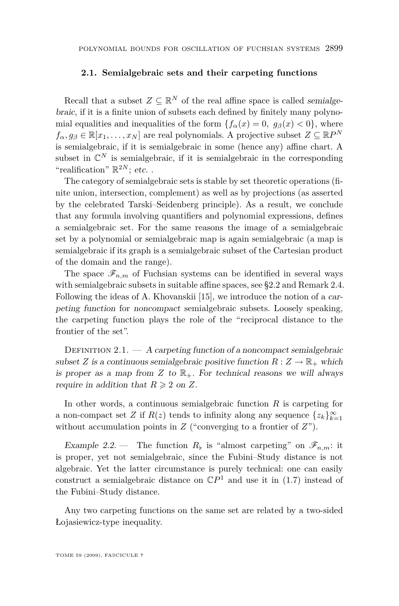#### <span id="page-9-0"></span>**2.1. Semialgebraic sets and their carpeting functions**

Recall that a subset  $Z \subseteq \mathbb{R}^N$  of the real affine space is called *semialge*braic, if it is a finite union of subsets each defined by finitely many polynomial equalities and inequalities of the form  ${f_\alpha(x) = 0, g_\beta(x) < 0}$ , where  $f_{\alpha}, g_{\beta} \in \mathbb{R}[x_1, \dots, x_N]$  are real polynomials. A projective subset  $Z \subseteq \mathbb{R}P^N$ is semialgebraic, if it is semialgebraic in some (hence any) affine chart. A subset in  $\mathbb{C}^N$  is semialgebraic, if it is semialgebraic in the corresponding "realification"  $\mathbb{R}^{2N}$ ; etc...

The category of semialgebraic sets is stable by set theoretic operations (finite union, intersection, complement) as well as by projections (as asserted by the celebrated Tarski–Seidenberg principle). As a result, we conclude that any formula involving quantifiers and polynomial expressions, defines a semialgebraic set. For the same reasons the image of a semialgebraic set by a polynomial or semialgebraic map is again semialgebraic (a map is semialgebraic if its graph is a semialgebraic subset of the Cartesian product of the domain and the range).

The space  $\mathscr{F}_{n,m}$  of Fuchsian systems can be identified in several ways with semialgebraic subsets in suitable affine spaces, see [§2.2](#page-11-0) and Remark [2.4.](#page-10-0) Following the ideas of A. Khovanskii [\[15\]](#page-35-0), we introduce the notion of a carpeting function for noncompact semialgebraic subsets. Loosely speaking, the carpeting function plays the role of the "reciprocal distance to the frontier of the set".

DEFINITION  $2.1. - A$  carpeting function of a noncompact semialgebraic subset *Z* is a continuous semialgebraic positive function  $R: Z \to \mathbb{R}_+$  which is proper as a map from  $Z$  to  $\mathbb{R}_+$ . For technical reasons we will always require in addition that  $R \geqslant 2$  on  $Z$ .

In other words, a continuous semialgebraic function *R* is carpeting for a non-compact set *Z* if  $R(z)$  tends to infinity along any sequence  $\{z_k\}_{k=1}^{\infty}$ without accumulation points in *Z* ("converging to a frontier of *Z*").

Example 2.2. – The function  $R_{\flat}$  is "almost carpeting" on  $\mathscr{F}_{n,m}$ : it is proper, yet not semialgebraic, since the Fubini–Study distance is not algebraic. Yet the latter circumstance is purely technical: one can easily construct a semialgebraic distance on  $\mathbb{C}P^1$  and use it in [\(1.7\)](#page-5-0) instead of the Fubini–Study distance.

Any two carpeting functions on the same set are related by a two-sided Łojasiewicz-type inequality.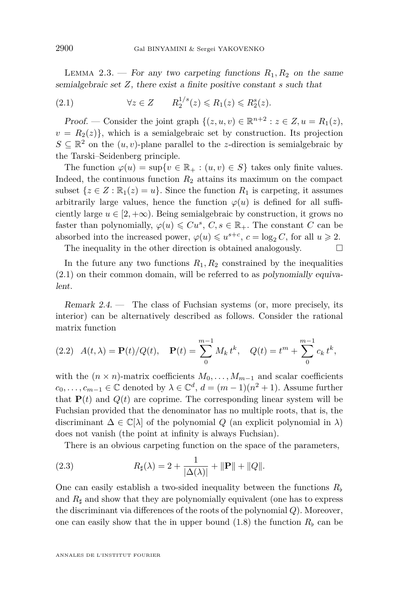<span id="page-10-0"></span>LEMMA 2.3. — For any two carpeting functions  $R_1, R_2$  on the same semialgebraic set *Z*, there exist a finite positive constant *s* such that

(2.1) *∀z ∈ Z R*<sup>1</sup>*/s* 2 (*z*) 6 *R*1(*z*) 6 *R s* 2 (*z*)*.*

Proof. — Consider the joint graph  $\{(z, u, v) \in \mathbb{R}^{n+2} : z \in Z, u = R_1(z),\}$  $v = R<sub>2</sub>(z)$ }, which is a semialgebraic set by construction. Its projection  $S \subseteq \mathbb{R}^2$  on the  $(u, v)$ -plane parallel to the *z*-direction is semialgebraic by the Tarski–Seidenberg principle.

The function  $\varphi(u) = \sup\{v \in \mathbb{R}_+ : (u, v) \in S\}$  takes only finite values. Indeed, the continuous function *R*<sup>2</sup> attains its maximum on the compact subset  $\{z \in \mathbb{Z} : \mathbb{R}_1(z) = u\}$ . Since the function  $R_1$  is carpeting, it assumes arbitrarily large values, hence the function  $\varphi(u)$  is defined for all sufficiently large  $u \in [2, +\infty)$ . Being semialgebraic by construction, it grows no faster than polynomially,  $\varphi(u) \leq C u^s$ ,  $C, s \in \mathbb{R}_+$ . The constant  $C$  can be absorbed into the increased power,  $\varphi(u) \leqslant u^{s+c}$ ,  $c = \log_2 C$ , for all  $u \geqslant 2$ .

The inequality in the other direction is obtained analogously.  $\Box$ 

In the future any two functions  $R_1, R_2$  constrained by the inequalities (2.1) on their common domain, will be referred to as polynomially equivalent.

Remark 2.4. — The class of Fuchsian systems (or, more precisely, its interior) can be alternatively described as follows. Consider the rational matrix function

(2.2) 
$$
A(t,\lambda) = \mathbf{P}(t)/Q(t)
$$
,  $\mathbf{P}(t) = \sum_{0}^{m-1} M_k t^k$ ,  $Q(t) = t^m + \sum_{0}^{m-1} c_k t^k$ ,

with the  $(n \times n)$ -matrix coefficients  $M_0, \ldots, M_{m-1}$  and scalar coefficients *c*<sub>0</sub>*,*  $\dots$ *, c*<sub>*m*−1</sub> ∈  $\mathbb{C}$  denoted by  $\lambda \in \mathbb{C}^d$ ,  $d = (m-1)(n^2+1)$ . Assume further that  $P(t)$  and  $Q(t)$  are coprime. The corresponding linear system will be Fuchsian provided that the denominator has no multiple roots, that is, the discriminant  $\Delta \in \mathbb{C}[\lambda]$  of the polynomial *Q* (an explicit polynomial in  $\lambda$ ) does not vanish (the point at infinity is always Fuchsian).

There is an obvious carpeting function on the space of the parameters,

(2.3) 
$$
R_{\sharp}(\lambda) = 2 + \frac{1}{|\Delta(\lambda)|} + \|\mathbf{P}\| + \|Q\|.
$$

One can easily establish a two-sided inequality between the functions  $R<sub>b</sub>$ and  $R_{\sharp}$  and show that they are polynomially equivalent (one has to express the discriminant via differences of the roots of the polynomial *Q*). Moreover, one can easily show that the in upper bound  $(1.8)$  the function  $R<sub>b</sub>$  can be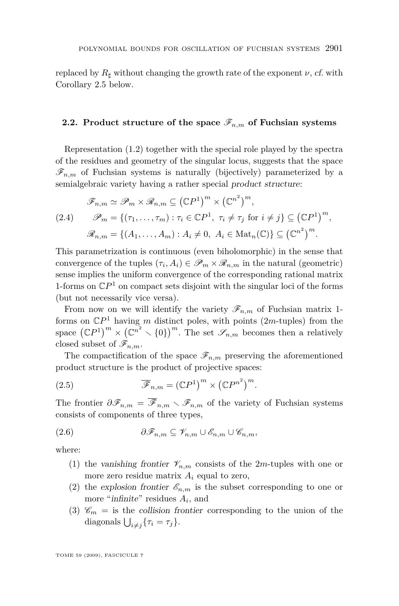<span id="page-11-0"></span>replaced by  $R_{\text{d}}$  without changing the growth rate of the exponent  $\nu$ , cf. with Corollary [2.5](#page-12-0) below.

#### **2.2. Product structure of the space**  $\mathscr{F}_{n,m}$  of Fuchsian systems

Representation [\(1.2\)](#page-2-0) together with the special role played by the spectra of the residues and geometry of the singular locus, suggests that the space  $\mathscr{F}_{n,m}$  of Fuchsian systems is naturally (bijectively) parameterized by a semialgebraic variety having a rather special product structure:

$$
\mathscr{F}_{n,m} \simeq \mathscr{P}_m \times \mathscr{R}_{n,m} \subseteq (\mathbb{C}P^1)^m \times (\mathbb{C}^{n^2})^m,
$$
  
(2.4) 
$$
\mathscr{P}_m = \{ (\tau_1, \dots, \tau_m) : \tau_i \in \mathbb{C}P^1, \ \tau_i \neq \tau_j \text{ for } i \neq j \} \subseteq (\mathbb{C}P^1)^m,
$$

$$
\mathscr{R}_{n,m} = \{ (A_1, \dots, A_m) : A_i \neq 0, \ A_i \in \text{Mat}_n(\mathbb{C}) \} \subseteq (\mathbb{C}^{n^2})^m.
$$

This parametrization is continuous (even biholomorphic) in the sense that convergence of the tuples  $(\tau_i, A_i) \in \mathscr{P}_m \times \mathscr{R}_{n,m}$  in the natural (geometric) sense implies the uniform convergence of the corresponding rational matrix 1-forms on  $\mathbb{C}P^1$  on compact sets disjoint with the singular loci of the forms (but not necessarily vice versa).

From now on we will identify the variety  $\mathscr{F}_{n,m}$  of Fuchsian matrix 1forms on C*P* <sup>1</sup> having *m* distinct poles, with points (2*m*-tuples) from the space  $({\mathbb{C}}P^1)^m \times ({\mathbb{C}}^n^2 \times {0})^m$ . The set  $\mathscr{S}_{n,m}$  becomes then a relatively closed subset of  $\mathscr{F}_{n,m}$ .

The compactification of the space  $\mathscr{F}_{n,m}$  preserving the aforementioned product structure is the product of projective spaces:

(2.5) 
$$
\overline{\mathscr{F}}_{n,m} = (\mathbb{C}P^1)^m \times (\mathbb{C}P^{n^2})^m.
$$

The frontier  $\partial \mathscr{F}_{n,m} = \overline{\mathscr{F}}_{n,m} \setminus \mathscr{F}_{n,m}$  of the variety of Fuchsian systems consists of components of three types,

$$
(2.6) \t\t \t\t \partial \mathcal{F}_{n,m} \subseteq \mathcal{V}_{n,m} \cup \mathcal{E}_{n,m} \cup \mathcal{C}_{n,m},
$$

where:

- (1) the vanishing frontier  $\mathcal{V}_{n,m}$  consists of the 2*m*-tuples with one or more zero residue matrix *A<sup>i</sup>* equal to zero,
- (2) the explosion frontier  $\mathscr{E}_{n,m}$  is the subset corresponding to one or more "*infinite*" residues  $A_i$ , and
- (3)  $\mathscr{C}_m$  = is the collision frontier corresponding to the union of the diagonals  $\bigcup_{i \neq j} \{\tau_i = \tau_j\}.$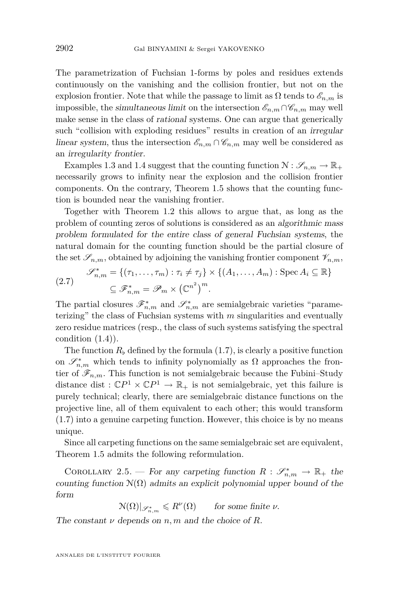<span id="page-12-0"></span>The parametrization of Fuchsian 1-forms by poles and residues extends continuously on the vanishing and the collision frontier, but not on the explosion frontier. Note that while the passage to limit as  $\Omega$  tends to  $\mathscr{E}_{n,m}$  is impossible, the simultaneous limit on the intersection  $\mathscr{E}_{n,m} \cap \mathscr{C}_{n,m}$  may well make sense in the class of rational systems. One can argue that generically such "collision with exploding residues" results in creation of an *irregular* linear system, thus the intersection  $\mathscr{E}_{n,m} \cap \mathscr{C}_{n,m}$  may well be considered as an irregularity frontier.

Examples [1.3](#page-4-0) and [1.4](#page-4-0) suggest that the counting function  $\mathcal{N}: \mathscr{S}_{n,m} \to \mathbb{R}_+$ necessarily grows to infinity near the explosion and the collision frontier components. On the contrary, Theorem [1.5](#page-5-0) shows that the counting function is bounded near the vanishing frontier.

Together with Theorem [1.2](#page-3-0) this allows to argue that, as long as the problem of counting zeros of solutions is considered as an algorithmic mass problem formulated for the entire class of general Fuchsian systems, the natural domain for the counting function should be the partial closure of the set  $\mathscr{S}_{n,m}$ , obtained by adjoining the vanishing frontier component  $\mathscr{V}_{n,m}$ ,

(2.7) 
$$
\mathscr{S}_{n,m}^* = \{ (\tau_1, \ldots, \tau_m) : \tau_i \neq \tau_j \} \times \{ (A_1, \ldots, A_m) : \text{Spec } A_i \subseteq \mathbb{R} \} \subseteq \mathscr{F}_{n,m}^* = \mathscr{P}_m \times (\mathbb{C}^{n^2})^m.
$$

The partial closures  $\mathscr{F}_{n,m}^*$  and  $\mathscr{S}_{n,m}^*$  are semialgebraic varieties "parameterizing" the class of Fuchsian systems with *m* singularities and eventually zero residue matrices (resp., the class of such systems satisfying the spectral condition  $(1.4)$ .

The function  $R_{\rm b}$  defined by the formula [\(1.7\)](#page-5-0), is clearly a positive function on  $\mathscr{S}_{n,m}^*$  which tends to infinity polynomially as  $\Omega$  approaches the frontier of  $\mathscr{F}_{n,m}$ . This function is not semialgebraic because the Fubini–Study distance dist  $: \mathbb{C}P^1 \times \mathbb{C}P^1 \to \mathbb{R}_+$  is not semialgebraic, yet this failure is purely technical; clearly, there are semialgebraic distance functions on the projective line, all of them equivalent to each other; this would transform [\(1.7\)](#page-5-0) into a genuine carpeting function. However, this choice is by no means unique.

Since all carpeting functions on the same semialgebraic set are equivalent, Theorem [1.5](#page-5-0) admits the following reformulation.

COROLLARY 2.5. — For any carpeting function  $R : \mathscr{S}_{n,m}^* \to \mathbb{R}_+$  the counting function  $\mathcal{N}(\Omega)$  admits an explicit polynomial upper bound of the form

 $\mathcal{N}(\Omega)|_{\mathscr{S}_{n,m}^*} \leqslant R^{\nu}(\Omega)$  for some finite  $\nu$ .

The constant  $\nu$  depends on  $n, m$  and the choice of  $R$ .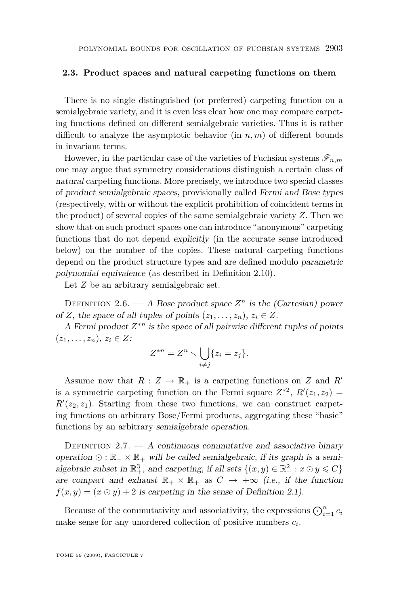#### <span id="page-13-0"></span>**2.3. Product spaces and natural carpeting functions on them**

There is no single distinguished (or preferred) carpeting function on a semialgebraic variety, and it is even less clear how one may compare carpeting functions defined on different semialgebraic varieties. Thus it is rather difficult to analyze the asymptotic behavior (in  $n, m$ ) of different bounds in invariant terms.

However, in the particular case of the varieties of Fuchsian systems  $\mathscr{F}_{n,m}$ one may argue that symmetry considerations distinguish a certain class of natural carpeting functions. More precisely, we introduce two special classes of product semialgebraic spaces, provisionally called Fermi and Bose types (respectively, with or without the explicit prohibition of coincident terms in the product) of several copies of the same semialgebraic variety *Z*. Then we show that on such product spaces one can introduce "anonymous" carpeting functions that do not depend explicitly (in the accurate sense introduced below) on the number of the copies. These natural carpeting functions depend on the product structure types and are defined modulo parametric polynomial equivalence (as described in Definition [2.10\)](#page-14-0).

Let *Z* be an arbitrary semialgebraic set.

DEFINITION 2.6. — A Bose product space  $Z^n$  is the (Cartesian) power of *Z*, the space of all tuples of points  $(z_1, \ldots, z_n), z_i \in Z$ .

A Fermi product *Z <sup>∗</sup><sup>n</sup>* is the space of all pairwise different tuples of points  $(z_1, \ldots, z_n), z_i \in Z$ :

$$
Z^{*n} = Z^n \setminus \bigcup_{i \neq j} \{z_i = z_j\}.
$$

Assume now that  $R: Z \to \mathbb{R}_+$  is a carpeting functions on *Z* and *R<sup><i>i*</sup></sup> is a symmetric carpeting function on the Fermi square  $Z^{*2}$ ,  $R'(z_1, z_2)$  =  $R'(z_2, z_1)$ . Starting from these two functions, we can construct carpeting functions on arbitrary Bose/Fermi products, aggregating these "basic" functions by an arbitrary semialgebraic operation.

DEFINITION  $2.7. - A$  continuous commutative and associative binary operation  $\odot$ :  $\mathbb{R}_+ \times \mathbb{R}_+$  will be called semialgebraic, if its graph is a semialgebraic subset in  $\mathbb{R}^3_+$ , and carpeting, if all sets  $\{(x, y) \in \mathbb{R}^2_+ : x \odot y \leq C\}$ are compact and exhaust  $\mathbb{R}_+ \times \mathbb{R}_+$  as  $C \to +\infty$  (i.e., if the function  $f(x, y) = (x \odot y) + 2$  is carpeting in the sense of Definition [2.1\)](#page-9-0).

Because of the commutativity and associativity, the expressions  $\bigodot_{i=1}^{n} c_i$ make sense for any unordered collection of positive numbers *c<sup>i</sup>* .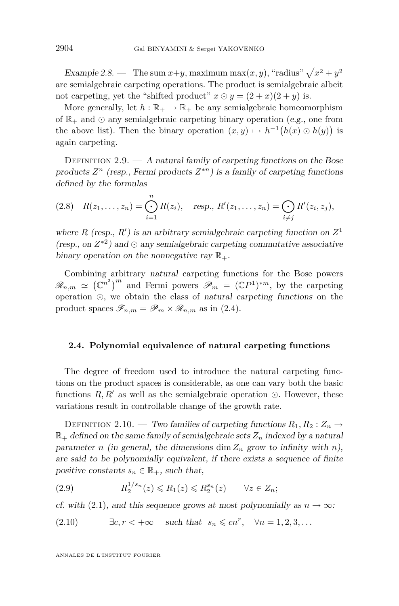<span id="page-14-0"></span>Example 2.8. — The sum  $x+y$ , maximum max $(x, y)$ , "radius"  $\sqrt{x^2 + y^2}$ are semialgebraic carpeting operations. The product is semialgebraic albeit not carpeting, yet the "shifted product"  $x \odot y = (2+x)(2+y)$  is.

More generally, let  $h : \mathbb{R}_+ \to \mathbb{R}_+$  be any semialgebraic homeomorphism of  $\mathbb{R}_+$  and  $\odot$  any semialgebraic carpeting binary operation (e.g., one from the above list). Then the binary operation  $(x, y) \mapsto h^{-1}(h(x) \odot h(y))$  is again carpeting.

DEFINITION 2.9.  $- A$  natural family of carpeting functions on the Bose products  $Z^n$  (resp., Fermi products  $Z^{*n}$ ) is a family of carpeting functions defined by the formulas

$$
(2.8) \quad R(z_1,\ldots,z_n) = \bigodot_{i=1}^n R(z_i), \quad \text{resp., } R'(z_1,\ldots,z_n) = \bigodot_{i \neq j} R'(z_i,z_j),
$$

where *R* (resp.,  $R'$ ) is an arbitrary semialgebraic carpeting function on  $Z<sup>1</sup>$ (resp., on  $Z^{*2}$ ) and  $\odot$  any semialgebraic carpeting commutative associative binary operation on the nonnegative ray  $\mathbb{R}_+$ .

Combining arbitrary natural carpeting functions for the Bose powers  $\mathscr{R}_{n,m} \simeq (\mathbb{C}^{n^2})^m$  and Fermi powers  $\mathscr{P}_m = (\mathbb{C}P^1)^{*m}$ , by the carpeting operation , we obtain the class of natural carpeting functions on the product spaces  $\mathscr{F}_{n,m} = \mathscr{P}_m \times \mathscr{R}_{n,m}$  as in [\(2.4\)](#page-11-0).

#### **2.4. Polynomial equivalence of natural carpeting functions**

The degree of freedom used to introduce the natural carpeting functions on the product spaces is considerable, as one can vary both the basic functions  $R, R'$  as well as the semialgebraic operation  $\odot$ . However, these variations result in controllable change of the growth rate.

DEFINITION 2.10. — Two families of carpeting functions  $R_1, R_2 : Z_n \to$  $\mathbb{R}_+$  defined on the same family of semialgebraic sets  $Z_n$  indexed by a natural parameter *n* (in general, the dimensions dim  $Z_n$  grow to infinity with *n*), are said to be polynomially equivalent, if there exists a sequence of finite positive constants  $s_n \in \mathbb{R}_+$ , such that,

$$
(2.9) \t\t R_2^{1/s_n}(z) \le R_1(z) \le R_2^{s_n}(z) \t\t \forall z \in Z_n;
$$

cf. with [\(2.1\)](#page-10-0), and this sequence grows at most polynomially as  $n \to \infty$ :

(2.10) 
$$
\exists c, r < +\infty \quad \text{such that} \quad s_n \leqslant cn^r, \quad \forall n = 1, 2, 3, \dots
$$

1*/s<sup>n</sup>*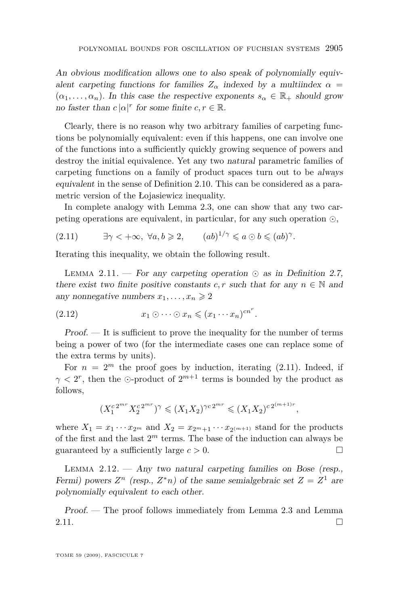<span id="page-15-0"></span>An obvious modification allows one to also speak of polynomially equivalent carpeting functions for families  $Z_{\alpha}$  indexed by a multiindex  $\alpha$  =  $(\alpha_1, \ldots, \alpha_n)$ . In this case the respective exponents  $s_\alpha \in \mathbb{R}_+$  should grow no faster than  $c |\alpha|^r$  for some finite  $c, r \in \mathbb{R}$ .

Clearly, there is no reason why two arbitrary families of carpeting functions be polynomially equivalent: even if this happens, one can involve one of the functions into a sufficiently quickly growing sequence of powers and destroy the initial equivalence. Yet any two natural parametric families of carpeting functions on a family of product spaces turn out to be always equivalent in the sense of Definition [2.10.](#page-14-0) This can be considered as a parametric version of the Łojasiewicz inequality.

In complete analogy with Lemma [2.3,](#page-9-0) one can show that any two carpeting operations are equivalent, in particular, for any such operation ,

(2.11) 
$$
\exists \gamma < +\infty, \ \forall a, b \geq 2, \qquad (ab)^{1/\gamma} \leq a \odot b \leq (ab)^{\gamma}.
$$

Iterating this inequality, we obtain the following result.

LEMMA 2.11.  $-$  For any carpeting operation  $\odot$  as in Definition [2.7,](#page-13-0) there exist two finite positive constants  $c, r$  such that for any  $n \in \mathbb{N}$  and any nonnegative numbers  $x_1, \ldots, x_n \geq 2$ 

(2.12) 
$$
x_1 \odot \cdots \odot x_n \leqslant (x_1 \cdots x_n)^{cn^r}.
$$

Proof. — It is sufficient to prove the inequality for the number of terms being a power of two (for the intermediate cases one can replace some of the extra terms by units).

For  $n = 2^m$  the proof goes by induction, iterating  $(2.11)$ . Indeed, if  $\gamma < 2^r$ , then the  $\odot$ -product of  $2^{m+1}$  terms is bounded by the product as follows,

$$
(X_1^{c}^{2^{mr}} X_2^{c}^{2^{mr}})^{\gamma} \leqslant (X_1 X_2)^{\gamma c}^{2^{mr}} \leqslant (X_1 X_2)^{c}^{2^{(m+1)r}},
$$

where  $X_1 = x_1 \cdots x_{2^m}$  and  $X_2 = x_{2^m+1} \cdots x_{2^{(m+1)}}$  stand for the products of the first and the last  $2^m$  terms. The base of the induction can always be guaranteed by a sufficiently large  $c > 0$ .

LEMMA  $2.12.$  – Any two natural carpeting families on Bose (resp., Fermi) powers  $Z^n$  (resp.,  $Z^*n$ ) of the same semialgebraic set  $Z = Z^1$  are polynomially equivalent to each other.

Proof. — The proof follows immediately from Lemma [2.3](#page-9-0) and Lemma 2.11.  $\Box$ 

TOME 59 (2009), FASCICULE 7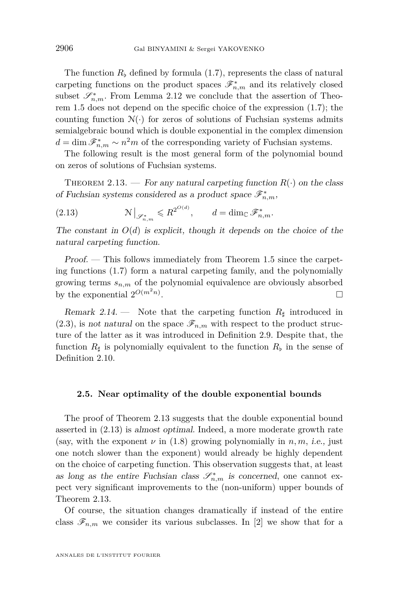The function  $R<sub>b</sub>$  defined by formula [\(1.7\)](#page-5-0), represents the class of natural carpeting functions on the product spaces  $\mathscr{F}_{n,m}^*$  and its relatively closed subset  $\mathscr{S}_{n,m}^*$ . From Lemma [2.12](#page-15-0) we conclude that the assertion of Theorem [1.5](#page-5-0) does not depend on the specific choice of the expression [\(1.7\)](#page-5-0); the counting function  $\mathcal{N}(\cdot)$  for zeros of solutions of Fuchsian systems admits semialgebraic bound which is double exponential in the complex dimension  $d = \dim \mathscr{F}_{n,m}^* \sim n^2m$  of the corresponding variety of Fuchsian systems.

The following result is the most general form of the polynomial bound on zeros of solutions of Fuchsian systems.

THEOREM 2.13. — For any natural carpeting function  $R(\cdot)$  on the class of Fuchsian systems considered as a product space  $\mathscr{F}_{n,m}^{\ast},$ 

(2.13) 
$$
\mathcal{N}\big|_{\mathscr{S}_{n,m}^*} \leqslant R^{2^{O(d)}}, \qquad d = \dim_{\mathbb{C}} \mathscr{F}_{n,m}^*.
$$

The constant in  $O(d)$  is explicit, though it depends on the choice of the natural carpeting function.

Proof. — This follows immediately from Theorem [1.5](#page-5-0) since the carpeting functions [\(1.7\)](#page-5-0) form a natural carpeting family, and the polynomially growing terms  $s_{n,m}$  of the polynomial equivalence are obviously absorbed by the exponential  $2^{O(m^2n)}$ .

Remark 2.14. — Note that the carpeting function  $R_{\sharp}$  introduced in  $(2.3)$ , is not natural on the space  $\mathscr{F}_{n,m}$  with respect to the product structure of the latter as it was introduced in Definition [2.9.](#page-14-0) Despite that, the function  $R_{\sharp}$  is polynomially equivalent to the function  $R_{\flat}$  in the sense of Definition [2.10.](#page-14-0)

#### **2.5. Near optimality of the double exponential bounds**

The proof of Theorem 2.13 suggests that the double exponential bound asserted in (2.13) is almost optimal. Indeed, a more moderate growth rate (say, with the exponent  $\nu$  in [\(1.8\)](#page-5-0) growing polynomially in  $n, m$ , i.e., just one notch slower than the exponent) would already be highly dependent on the choice of carpeting function. This observation suggests that, at least as long as the entire Fuchsian class  $\mathscr{S}_{n,m}^*$  is concerned, one cannot expect very significant improvements to the (non-uniform) upper bounds of Theorem 2.13.

Of course, the situation changes dramatically if instead of the entire class  $\mathscr{F}_{n,m}$  we consider its various subclasses. In [\[2\]](#page-35-0) we show that for a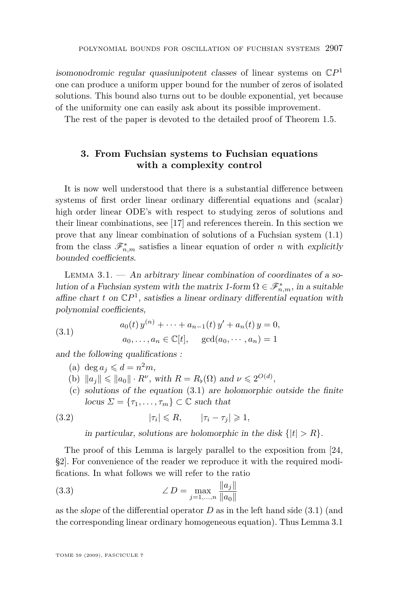<span id="page-17-0"></span>isomonodromic regular quasiunipotent classes of linear systems on C*P* 1 one can produce a uniform upper bound for the number of zeros of isolated solutions. This bound also turns out to be double exponential, yet because of the uniformity one can easily ask about its possible improvement.

The rest of the paper is devoted to the detailed proof of Theorem [1.5.](#page-5-0)

#### **3. From Fuchsian systems to Fuchsian equations with a complexity control**

It is now well understood that there is a substantial difference between systems of first order linear ordinary differential equations and (scalar) high order linear ODE's with respect to studying zeros of solutions and their linear combinations, see [\[17\]](#page-36-0) and references therein. In this section we prove that any linear combination of solutions of a Fuchsian system [\(1.1\)](#page-2-0) from the class  $\mathscr{F}_{n,m}^*$  satisfies a linear equation of order *n* with explicitly bounded coefficients.

LEMMA  $3.1.$  — An arbitrary linear combination of coordinates of a solution of a Fuchsian system with the matrix 1-form  $\Omega \in \mathscr{F}_{n,m}^*$ , in a suitable affine chart  $t$  on  $\mathbb{C}P^1$ , satisfies a linear ordinary differential equation with polynomial coefficients,

(3.1) 
$$
a_0(t) y^{(n)} + \cdots + a_{n-1}(t) y' + a_n(t) y = 0,
$$

$$
a_0, \ldots, a_n \in \mathbb{C}[t], \quad \gcd(a_0, \cdots, a_n) = 1
$$

and the following qualifications :

- (a) deg  $a_j \leq d = n^2 m$ ,
- (b)  $||a_j|| \le ||a_0|| \cdot R^{\nu}$ , with  $R = R_{\nu}(\Omega)$  and  $\nu \le 2^{O(d)}$ ,
- (c) solutions of the equation (3.1) are holomorphic outside the finite  $locus \Sigma = {\tau_1, \ldots, \tau_m} \subset \mathbb{C}$  such that

(3.2) 
$$
|\tau_i| \leq R, \qquad |\tau_i - \tau_j| \geq 1,
$$

in particular, solutions are holomorphic in the disk  $\{|t| > R\}$ .

The proof of this Lemma is largely parallel to the exposition from [\[24,](#page-36-0) §2]. For convenience of the reader we reproduce it with the required modifications. In what follows we will refer to the ratio

(3.3) 
$$
\angle D = \max_{j=1,...,n} \frac{\|a_j\|}{\|a_0\|}
$$

as the *slope* of the differential operator  $D$  as in the left hand side  $(3.1)$  (and the corresponding linear ordinary homogeneous equation). Thus Lemma 3.1

TOME 59 (2009), FASCICULE 7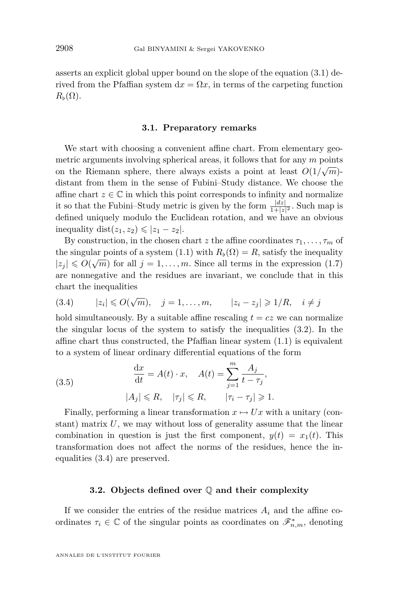<span id="page-18-0"></span>asserts an explicit global upper bound on the slope of the equation [\(3.1\)](#page-17-0) derived from the Pfaffian system  $dx = \Omega x$ , in terms of the carpeting function  $R_{\rm b}(\Omega)$ .

#### **3.1. Preparatory remarks**

We start with choosing a convenient affine chart. From elementary geometric arguments involving spherical areas, it follows that for any *m* points on the Riemann sphere, there always exists a point at least  $O(1/\sqrt{m})$ distant from them in the sense of Fubini–Study distance. We choose the affine chart  $z \in \mathbb{C}$  in which this point corresponds to infinity and normalize it so that the Fubini–Study metric is given by the form  $\frac{|dz|}{1+|z|^2}$ . Such map is defined uniquely modulo the Euclidean rotation, and we have an obvious  $i$ inequality  $dist(z_1, z_2) \le |z_1 - z_2|$ .

By construction, in the chosen chart *z* the affine coordinates  $\tau_1, \ldots, \tau_m$  of the singular points of a system [\(1.1\)](#page-2-0) with  $R_{\flat}(\Omega) = R$ , satisfy the inequality  $|z_j| \leq O(\sqrt{m})$  for all  $j = 1, ..., m$ . Since all terms in the expression [\(1.7\)](#page-5-0) are nonnegative and the residues are invariant, we conclude that in this chart the inequalities

(3.4) 
$$
|z_i| \le O(\sqrt{m}), \quad j = 1, ..., m, \qquad |z_i - z_j| \ge 1/R, \quad i \ne j
$$

hold simultaneously. By a suitable affine rescaling  $t = cz$  we can normalize the singular locus of the system to satisfy the inequalities [\(3.2\)](#page-17-0). In the affine chart thus constructed, the Pfaffian linear system [\(1.1\)](#page-2-0) is equivalent to a system of linear ordinary differential equations of the form

(3.5) 
$$
\frac{dx}{dt} = A(t) \cdot x, \quad A(t) = \sum_{j=1}^{m} \frac{A_j}{t - \tau_j},
$$

$$
|A_j| \le R, \quad |\tau_j| \le R, \quad |\tau_i - \tau_j| \ge 1.
$$

Finally, performing a linear transformation  $x \mapsto Ux$  with a unitary (constant) matrix *U*, we may without loss of generality assume that the linear combination in question is just the first component,  $y(t) = x_1(t)$ . This transformation does not affect the norms of the residues, hence the inequalities (3.4) are preserved.

#### **3.2. Objects defined over** Q **and their complexity**

If we consider the entries of the residue matrices  $A_i$  and the affine coordinates  $\tau_i \in \mathbb{C}$  of the singular points as coordinates on  $\mathscr{F}_{n,m}^*$ , denoting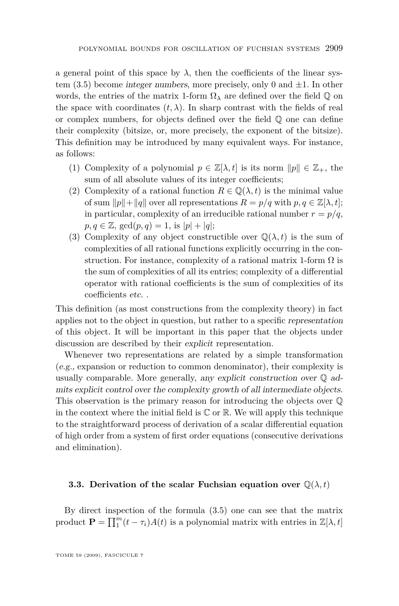a general point of this space by  $\lambda$ , then the coefficients of the linear system [\(3.5\)](#page-18-0) become integer numbers, more precisely, only 0 and *±*1. In other words, the entries of the matrix 1-form  $\Omega_{\lambda}$  are defined over the field  $\mathbb{Q}$  on the space with coordinates  $(t, \lambda)$ . In sharp contrast with the fields of real or complex numbers, for objects defined over the field  $\mathbb{Q}$  one can define their complexity (bitsize, or, more precisely, the exponent of the bitsize). This definition may be introduced by many equivalent ways. For instance, as follows:

- (1) Complexity of a polynomial  $p \in \mathbb{Z}[\lambda, t]$  is its norm  $||p|| \in \mathbb{Z}_+$ , the sum of all absolute values of its integer coefficients;
- (2) Complexity of a rational function  $R \in \mathbb{Q}(\lambda, t)$  is the minimal value of sum  $||p|| + ||q||$  over all representations  $R = p/q$  with  $p, q \in \mathbb{Z}[\lambda, t]$ ; in particular, complexity of an irreducible rational number  $r = p/q$ ,  $p, q \in \mathbb{Z}$ ,  $gcd(p, q) = 1$ , is  $|p| + |q|$ ;
- (3) Complexity of any object constructible over  $\mathbb{Q}(\lambda, t)$  is the sum of complexities of all rational functions explicitly occurring in the construction. For instance, complexity of a rational matrix 1-form  $\Omega$  is the sum of complexities of all its entries; complexity of a differential operator with rational coefficients is the sum of complexities of its coefficients etc. .

This definition (as most constructions from the complexity theory) in fact applies not to the object in question, but rather to a specific representation of this object. It will be important in this paper that the objects under discussion are described by their explicit representation.

Whenever two representations are related by a simple transformation (e.g., expansion or reduction to common denominator), their complexity is usually comparable. More generally, any explicit construction over  $\mathbb{Q}$  admits explicit control over the complexity growth of all intermediate objects. This observation is the primary reason for introducing the objects over Q in the context where the initial field is  $\mathbb C$  or  $\mathbb R$ . We will apply this technique to the straightforward process of derivation of a scalar differential equation of high order from a system of first order equations (consecutive derivations and elimination).

#### **3.3. Derivation of the scalar Fuchsian equation over**  $\mathbb{Q}(\lambda, t)$

By direct inspection of the formula [\(3.5\)](#page-18-0) one can see that the matrix product  $\mathbf{P} = \prod_{1}^{m} (t - \tau_i) A(t)$  is a polynomial matrix with entries in  $\mathbb{Z}[\lambda, t]$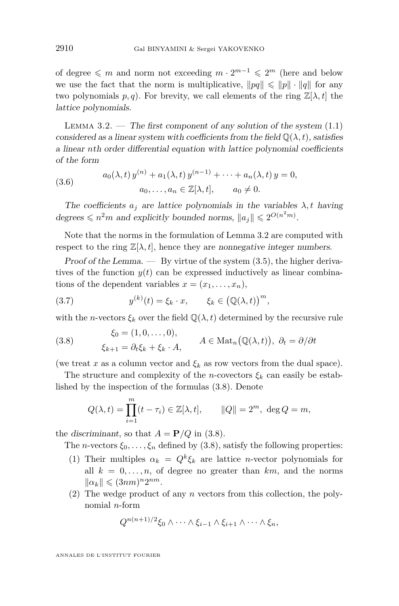<span id="page-20-0"></span>of degree  $\leqslant$  *m* and norm not exceeding *m* ⋅ 2<sup>*m*</sup>  $-1$   $\leqslant$  2<sup>*m*</sup> (here and below we use the fact that the norm is multiplicative,  $\|pq\| \leq \|p\| \cdot \|q\|$  for any two polynomials  $p, q$ ). For brevity, we call elements of the ring  $\mathbb{Z}[\lambda, t]$  the lattice polynomials.

LEMMA  $3.2.$  — The first component of any solution of the system  $(1.1)$ considered as a linear system with coefficients from the field  $\mathbb{Q}(\lambda, t)$ , satisfies a linear *n*th order differential equation with lattice polynomial coefficients of the form

(3.6) 
$$
a_0(\lambda, t) y^{(n)} + a_1(\lambda, t) y^{(n-1)} + \dots + a_n(\lambda, t) y = 0, a_0, \dots, a_n \in \mathbb{Z}[\lambda, t], \quad a_0 \neq 0.
$$

The coefficients  $a_j$  are lattice polynomials in the variables  $\lambda, t$  having degrees  $\leq n^2m$  and explicitly bounded norms,  $||a_j|| \leq 2^{O(n^2m)}$ .

Note that the norms in the formulation of Lemma 3.2 are computed with respect to the ring  $\mathbb{Z}[\lambda, t]$ , hence they are nonnegative integer numbers.

Proof of the Lemma.  $-$  By virtue of the system  $(3.5)$ , the higher derivatives of the function  $y(t)$  can be expressed inductively as linear combinations of the dependent variables  $x = (x_1, \ldots, x_n)$ ,

(3.7) 
$$
y^{(k)}(t) = \xi_k \cdot x, \qquad \xi_k \in (\mathbb{Q}(\lambda, t))^m,
$$

with the *n*-vectors  $\xi_k$  over the field  $\mathbb{Q}(\lambda, t)$  determined by the recursive rule

(3.8) 
$$
\xi_0 = (1, 0, \dots, 0), \n\xi_{k+1} = \partial_t \xi_k + \xi_k \cdot A, \qquad A \in \text{Mat}_n(\mathbb{Q}(\lambda, t)), \ \partial_t = \partial/\partial t
$$

(we treat *x* as a column vector and  $\xi_k$  as row vectors from the dual space).

The structure and complexity of the *n*-covectors  $\xi_k$  can easily be established by the inspection of the formulas (3.8). Denote

$$
Q(\lambda, t) = \prod_{i=1}^{m} (t - \tau_i) \in \mathbb{Z}[\lambda, t], \qquad ||Q|| = 2^m, \deg Q = m,
$$

the discriminant, so that  $A = P/Q$  in (3.8).

The *n*-vectors  $\xi_0, \ldots, \xi_n$  defined by (3.8), satisfy the following properties:

- (1) Their multiples  $\alpha_k = Q^k \xi_k$  are lattice *n*-vector polynomials for all  $k = 0, \ldots, n$ , of degree no greater than  $km$ , and the norms  $\|\alpha_k\| \leqslant (3nm)^n 2^{nm}.$
- (2) The wedge product of any *n* vectors from this collection, the polynomial *n*-form

$$
Q^{n(n+1)/2}\xi_0\wedge\cdots\wedge\xi_{i-1}\wedge\xi_{i+1}\wedge\cdots\wedge\xi_n,
$$

ANNALES DE L'INSTITUT FOURIER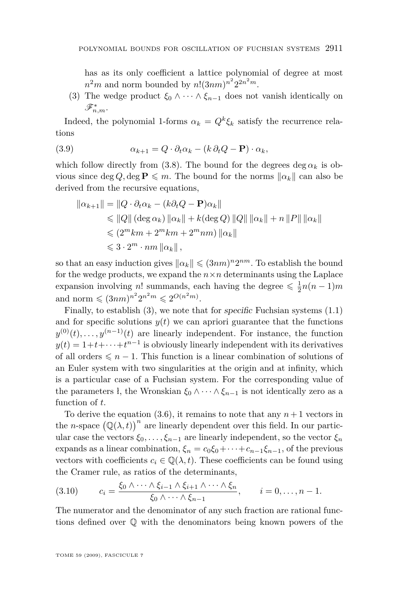has as its only coefficient a lattice polynomial of degree at most  $n^2m$  and norm bounded by  $n!(3nm)^{n^2}2^{2n^2m}$ .

(3) The wedge product  $\xi_0 \wedge \cdots \wedge \xi_{n-1}$  does not vanish identically on F*<sup>∗</sup> n,m*.

Indeed, the polynomial 1-forms  $\alpha_k = Q^k \xi_k$  satisfy the recurrence relations

(3.9) 
$$
\alpha_{k+1} = Q \cdot \partial_t \alpha_k - (k \partial_t Q - \mathbf{P}) \cdot \alpha_k,
$$

which follow directly from [\(3.8\)](#page-20-0). The bound for the degrees deg  $\alpha_k$  is obvious since deg  $Q$ , deg  $P \leq m$ . The bound for the norms  $\|\alpha_k\|$  can also be derived from the recursive equations,

$$
\begin{aligned} \|\alpha_{k+1}\| &= \|Q \cdot \partial_t \alpha_k - (k \partial_t Q - \mathbf{P}) \alpha_k\| \\ &\le \|Q\| \left(\deg \alpha_k\right) \|\alpha_k\| + k(\deg Q) \, \|Q\| \, \|\alpha_k\| + n \, \|P\| \, \|\alpha_k\| \\ &\le \left(2^m k m + 2^m k m + 2^m n m\right) \|\alpha_k\| \\ &\le 3 \cdot 2^m \cdot n m \, \|\alpha_k\| \,, \end{aligned}
$$

so that an easy induction gives  $\|\alpha_k\| \leq (3nm)^n 2^{nm}$ . To establish the bound for the wedge products, we expand the  $n \times n$  determinants using the Laplace expansion involving *n*! summands, each having the degree  $\leq \frac{1}{2}n(n-1)m$ and norm  $\leq (3nm)^{n^2} 2^{n^2 m} \leq 2^{O(n^2 m)}$ .

Finally, to establish (3), we note that for specific Fuchsian systems [\(1.1\)](#page-2-0) and for specific solutions  $y(t)$  we can apriori guarantee that the functions  $y^{(0)}(t), \ldots, y^{(n-1)}(t)$  are linearly independent. For instance, the function  $y(t) = 1 + t + \cdots + t^{n-1}$  is obviously linearly independent with its derivatives of all orders  $\leq n-1$ . This function is a linear combination of solutions of an Euler system with two singularities at the origin and at infinity, which is a particular case of a Fuchsian system. For the corresponding value of the parameters *ł*, the Wronskian  $\xi_0 \wedge \cdots \wedge \xi_{n-1}$  is not identically zero as a function of *t*.

To derive the equation  $(3.6)$ , it remains to note that any  $n+1$  vectors in the *n*-space  $(\mathbb{Q}(\lambda, t))^n$  are linearly dependent over this field. In our particular case the vectors  $\xi_0, \ldots, \xi_{n-1}$  are linearly independent, so the vector  $\xi_n$ expands as a linear combination,  $\xi_n = c_0 \xi_0 + \cdots + c_{n-1} \xi_{n-1}$ , of the previous vectors with coefficients  $c_i \in \mathbb{Q}(\lambda, t)$ . These coefficients can be found using the Cramer rule, as ratios of the determinants,

$$
(3.10) \qquad c_i = \frac{\xi_0 \wedge \dots \wedge \xi_{i-1} \wedge \xi_{i+1} \wedge \dots \wedge \xi_n}{\xi_0 \wedge \dots \wedge \xi_{n-1}}, \qquad i = 0, \dots, n-1.
$$

The numerator and the denominator of any such fraction are rational functions defined over Q with the denominators being known powers of the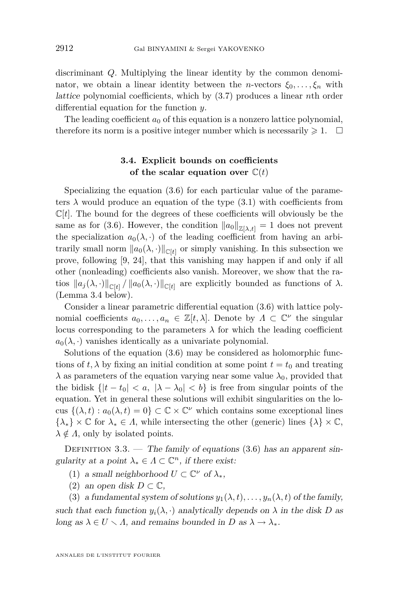<span id="page-22-0"></span>discriminant *Q*. Multiplying the linear identity by the common denominator, we obtain a linear identity between the *n*-vectors  $\xi_0, \ldots, \xi_n$  with lattice polynomial coefficients, which by [\(3.7\)](#page-20-0) produces a linear *n*th order differential equation for the function *y*.

The leading coefficient  $a_0$  of this equation is a nonzero lattice polynomial, therefore its norm is a positive integer number which is necessarily  $\geq 1$ .  $\Box$ 

#### **3.4. Explicit bounds on coefficients** of the scalar equation over  $C(t)$

Specializing the equation [\(3.6\)](#page-20-0) for each particular value of the parameters  $\lambda$  would produce an equation of the type  $(3.1)$  with coefficients from  $\mathbb{C}[t]$ . The bound for the degrees of these coefficients will obviously be the same as for [\(3.6\)](#page-20-0). However, the condition  $||a_0||_{\mathbb{Z}[\lambda,t]} = 1$  does not prevent the specialization  $a_0(\lambda, \cdot)$  of the leading coefficient from having an arbitrarily small norm  $\|a_0(\lambda, \cdot)\|_{\mathbb{C}[t]}$  or simply vanishing. In this subsection we prove, following [\[9,](#page-35-0) [24\]](#page-36-0), that this vanishing may happen if and only if all other (nonleading) coefficients also vanish. Moreover, we show that the ratios  $\|a_j(\lambda, \cdot)\|_{\mathbb{C}[t]}$  /  $\|a_0(\lambda, \cdot)\|_{\mathbb{C}[t]}$  are explicitly bounded as functions of  $\lambda$ . (Lemma [3.4](#page-23-0) below).

Consider a linear parametric differential equation [\(3.6\)](#page-20-0) with lattice polynomial coefficients  $a_0, \ldots, a_n \in \mathbb{Z}[t, \lambda]$ . Denote by  $\Lambda \subset \mathbb{C}^{\nu}$  the singular locus corresponding to the parameters  $\lambda$  for which the leading coefficient  $a_0(\lambda, \cdot)$  vanishes identically as a univariate polynomial.

Solutions of the equation [\(3.6\)](#page-20-0) may be considered as holomorphic functions of  $t, \lambda$  by fixing an initial condition at some point  $t = t_0$  and treating  $\lambda$  as parameters of the equation varying near some value  $\lambda_0$ , provided that the bidisk  $\{|t - t_0| < a, \ |\lambda - \lambda_0| < b\}$  is free from singular points of the equation. Yet in general these solutions will exhibit singularities on the locus  $\{(\lambda, t) : a_0(\lambda, t) = 0\} \subset \mathbb{C} \times \mathbb{C}^{\nu}$  which contains some exceptional lines  $\{\lambda_*\}\times\mathbb{C}$  for  $\lambda_*\in\Lambda$ , while intersecting the other (generic) lines  $\{\lambda\}\times\mathbb{C}$ ,  $\lambda \notin \Lambda$ , only by isolated points.

DEFINITION  $3.3.$  — The family of equations  $(3.6)$  has an apparent singularity at a point  $\lambda_* \in \Lambda \subset \mathbb{C}^n$ , if there exist:

- (1) a small neighborhood  $U \subset \mathbb{C}^{\nu}$  of  $\lambda_{*}$ ,
- (2) an open disk  $D \subset \mathbb{C}$ ,

(3) a fundamental system of solutions  $y_1(\lambda, t), \ldots, y_n(\lambda, t)$  of the family, such that each function  $y_i(\lambda, \cdot)$  analytically depends on  $\lambda$  in the disk *D* as long as  $\lambda \in U \setminus \Lambda$ , and remains bounded in *D* as  $\lambda \to \lambda_*$ .

ANNALES DE L'INSTITUT FOURIER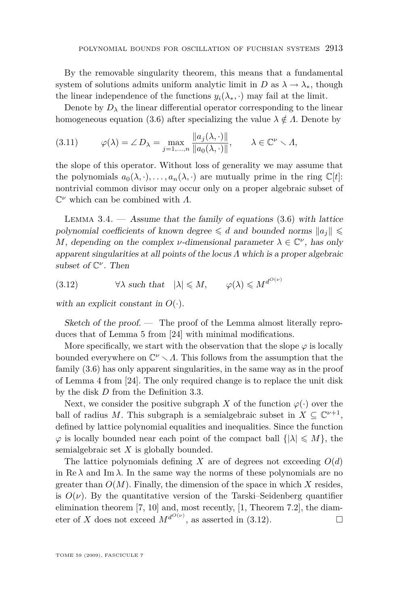<span id="page-23-0"></span>By the removable singularity theorem, this means that a fundamental system of solutions admits uniform analytic limit in *D* as  $\lambda \rightarrow \lambda_*$ , though the linear independence of the functions  $y_i(\lambda_*, \cdot)$  may fail at the limit.

Denote by  $D_{\lambda}$  the linear differential operator corresponding to the linear homogeneous equation [\(3.6\)](#page-20-0) after specializing the value  $\lambda \notin \Lambda$ . Denote by

(3.11) 
$$
\varphi(\lambda) = \angle D_{\lambda} = \max_{j=1,\dots,n} \frac{\|a_j(\lambda, \cdot)\|}{\|a_0(\lambda, \cdot)\|}, \quad \lambda \in \mathbb{C}^{\nu} \setminus \Lambda,
$$

the slope of this operator. Without loss of generality we may assume that the polynomials  $a_0(\lambda, \cdot), \ldots, a_n(\lambda, \cdot)$  are mutually prime in the ring  $\mathbb{C}[t]$ : nontrivial common divisor may occur only on a proper algebraic subset of C *<sup>ν</sup>* which can be combined with *Λ*.

LEMMA  $3.4.$  — Assume that the family of equations  $(3.6)$  with lattice polynomial coefficients of known degree  $\leq d$  and bounded norms  $||a_i|| \leq$ *M*, depending on the complex *ν*-dimensional parameter  $\lambda \in \mathbb{C}^{\nu}$ , has only apparent singularities at all points of the locus *Λ* which is a proper algebraic subset of C *ν* . Then

(3.12)  $\forall \lambda \text{ such that } |\lambda| \leq M, \quad \varphi(\lambda) \leq M^{d^{O(\nu)}}$ 

with an explicit constant in  $O(·)$ .

Sketch of the proof. — The proof of the Lemma almost literally reproduces that of Lemma 5 from [\[24\]](#page-36-0) with minimal modifications.

More specifically, we start with the observation that the slope  $\varphi$  is locally bounded everywhere on  $\mathbb{C}^{\nu} \setminus \Lambda$ . This follows from the assumption that the family [\(3.6\)](#page-20-0) has only apparent singularities, in the same way as in the proof of Lemma 4 from [\[24\]](#page-36-0). The only required change is to replace the unit disk by the disk *D* from the Definition [3.3.](#page-22-0)

Next, we consider the positive subgraph *X* of the function  $\varphi(\cdot)$  over the ball of radius *M*. This subgraph is a semialgebraic subset in  $X \subseteq \mathbb{C}^{\nu+1}$ , defined by lattice polynomial equalities and inequalities. Since the function  $\varphi$  is locally bounded near each point of the compact ball  $\{|\lambda| \leqslant M\}$ , the semialgebraic set *X* is globally bounded.

The lattice polynomials defining *X* are of degrees not exceeding  $O(d)$ in  $\text{Re }\lambda$  and Im  $\lambda$ . In the same way the norms of these polynomials are no greater than  $O(M)$ . Finally, the dimension of the space in which X resides, is  $O(\nu)$ . By the quantitative version of the Tarski–Seidenberg quantifier elimination theorem [\[7,](#page-35-0) [10\]](#page-35-0) and, most recently, [\[1,](#page-35-0) Theorem 7.2], the diameter of *X* does not exceed  $M^{d^{O(\nu)}}$ , as asserted in (3.12).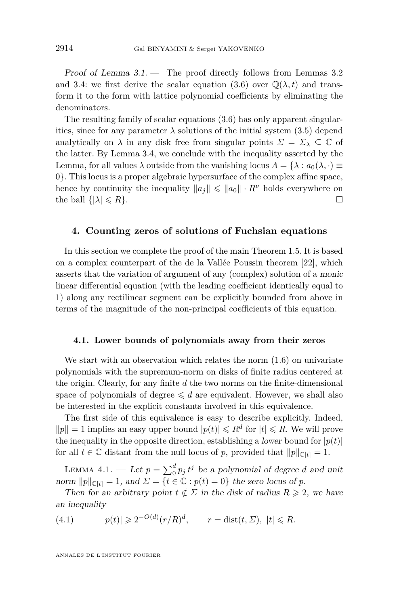<span id="page-24-0"></span>Proof of Lemma  $3.1.$  — The proof directly follows from Lemmas  $3.2$ and [3.4:](#page-23-0) we first derive the scalar equation [\(3.6\)](#page-20-0) over  $\mathbb{O}(\lambda, t)$  and transform it to the form with lattice polynomial coefficients by eliminating the denominators.

The resulting family of scalar equations [\(3.6\)](#page-20-0) has only apparent singularities, since for any parameter  $\lambda$  solutions of the initial system [\(3.5\)](#page-18-0) depend analytically on  $\lambda$  in any disk free from singular points  $\Sigma = \Sigma_{\lambda} \subseteq \mathbb{C}$  of the latter. By Lemma [3.4,](#page-23-0) we conclude with the inequality asserted by the Lemma, for all values  $\lambda$  outside from the vanishing locus  $\Lambda = {\lambda : a_0(\lambda, \cdot)} \equiv$ 0*}*. This locus is a proper algebraic hypersurface of the complex affine space, hence by continuity the inequality  $||a_i|| \le ||a_0|| \cdot R^{\nu}$  holds everywhere on the ball  $\{|\lambda| \leq R\}$ .

#### **4. Counting zeros of solutions of Fuchsian equations**

In this section we complete the proof of the main Theorem [1.5.](#page-5-0) It is based on a complex counterpart of the de la Vallée Poussin theorem [\[22\]](#page-36-0), which asserts that the variation of argument of any (complex) solution of a monic linear differential equation (with the leading coefficient identically equal to 1) along any rectilinear segment can be explicitly bounded from above in terms of the magnitude of the non-principal coefficients of this equation.

#### **4.1. Lower bounds of polynomials away from their zeros**

We start with an observation which relates the norm  $(1.6)$  on univariate polynomials with the supremum-norm on disks of finite radius centered at the origin. Clearly, for any finite *d* the two norms on the finite-dimensional space of polynomials of degree  $\leq d$  are equivalent. However, we shall also be interested in the explicit constants involved in this equivalence.

The first side of this equivalence is easy to describe explicitly. Indeed,  $||p|| = 1$  implies an easy upper bound  $|p(t)| \le R^d$  for  $|t| \le R$ . We will prove the inequality in the opposite direction, establishing a lower bound for  $|p(t)|$ for all  $t \in \mathbb{C}$  distant from the null locus of *p*, provided that  $||p||_{\mathbb{C}[t]} = 1$ .

LEMMA 4.1. — Let  $p = \sum_{i=0}^{d} p_i t^j$  be a polynomial of degree *d* and unit norm  $||p||_{\mathbb{C}[t]} = 1$ , and  $\Sigma = \{t \in \mathbb{C} : p(t) = 0\}$  the zero locus of *p*.

Then for an arbitrary point  $t \notin \Sigma$  in the disk of radius  $R \geq 2$ , we have an inequality

(4.1) 
$$
|p(t)| \geq 2^{-O(d)} (r/R)^d, \qquad r = \text{dist}(t, \Sigma), \ |t| \leq R.
$$

ANNALES DE L'INSTITUT FOURIER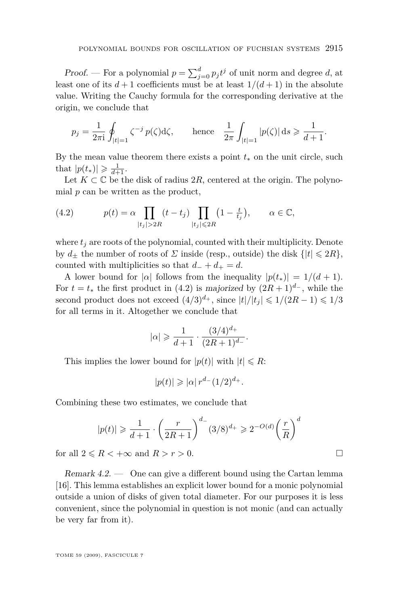Proof. — For a polynomial  $p = \sum_{j=0}^{d} p_j t^j$  of unit norm and degree *d*, at least one of its  $d+1$  coefficients must be at least  $1/(d+1)$  in the absolute value. Writing the Cauchy formula for the corresponding derivative at the origin, we conclude that

$$
p_j = \frac{1}{2\pi i} \oint_{|t|=1} \zeta^{-j} p(\zeta) d\zeta, \quad \text{hence} \quad \frac{1}{2\pi} \int_{|t|=1} |p(\zeta)| ds \geq \frac{1}{d+1}.
$$

By the mean value theorem there exists a point  $t<sub>*</sub>$  on the unit circle, such that  $|p(t_*)| \geq \frac{1}{d+1}$ .

Let  $K \subset \mathbb{C}$  be the disk of radius 2R, centered at the origin. The polynomial *p* can be written as the product,

(4.2) 
$$
p(t) = \alpha \prod_{|t_j| > 2R} (t - t_j) \prod_{|t_j| \le 2R} (1 - \frac{t}{t_j}), \qquad \alpha \in \mathbb{C},
$$

where  $t_i$  are roots of the polynomial, counted with their multiplicity. Denote by  $d_{+}$  the number of roots of  $\Sigma$  inside (resp., outside) the disk  $\{|t| \leq 2R\}$ , counted with multiplicities so that  $d$ <sub>−</sub> +  $d$ <sub>+</sub> =  $d$ .

A lower bound for  $|\alpha|$  follows from the inequality  $|p(t_*)| = 1/(d+1)$ . For  $t = t_*$  the first product in (4.2) is majorized by  $(2R + 1)^{d_-}$ , while the second product does not exceed  $(4/3)^{d_+}$ , since  $|t|/|t_i| \leq 1/(2R-1) \leq 1/3$ for all terms in it. Altogether we conclude that

$$
|\alpha| \geqslant \frac{1}{d+1} \cdot \frac{(3/4)^{d_+}}{(2R+1)^{d_-}}.
$$

This implies the lower bound for  $|p(t)|$  with  $|t| \le R$ :

$$
|p(t)| \geqslant |\alpha| \, r^{d-} (1/2)^{d+}.
$$

Combining these two estimates, we conclude that

$$
|p(t)| \ge \frac{1}{d+1} \cdot \left(\frac{r}{2R+1}\right)^{d-} (3/8)^{d+} \ge 2^{-O(d)} \left(\frac{r}{R}\right)^{d}
$$

for all  $2 \le R < +\infty$  and  $R > r > 0$ .

Remark 4.2. — One can give a different bound using the Cartan lemma [\[16\]](#page-36-0). This lemma establishes an explicit lower bound for a monic polynomial outside a union of disks of given total diameter. For our purposes it is less convenient, since the polynomial in question is not monic (and can actually be very far from it).

TOME 59 (2009), FASCICULE 7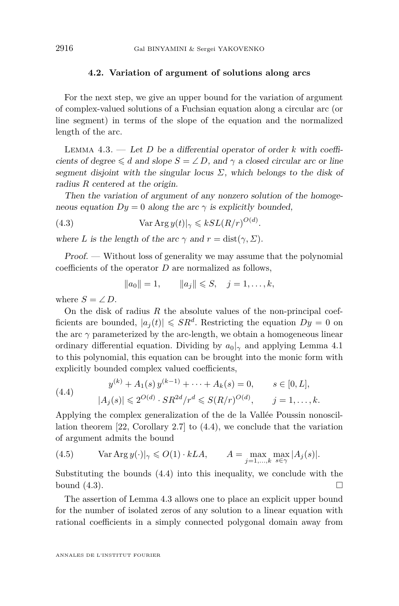#### **4.2. Variation of argument of solutions along arcs**

<span id="page-26-0"></span>For the next step, we give an upper bound for the variation of argument of complex-valued solutions of a Fuchsian equation along a circular arc (or line segment) in terms of the slope of the equation and the normalized length of the arc.

Lemma 4.3. — Let *D* be a differential operator of order *k* with coefficients of degree  $\leq d$  and slope  $S = \angle D$ , and  $\gamma$  a closed circular arc or line segment disjoint with the singular locus  $\Sigma$ , which belongs to the disk of radius *R* centered at the origin.

Then the variation of argument of any nonzero solution of the homogeneous equation  $Dy = 0$  along the arc  $\gamma$  is explicitly bounded,

(4.3) 
$$
\operatorname{Var} \operatorname{Arg} y(t)|_{\gamma} \leqslant kSL(R/r)^{O(d)}.
$$

where *L* is the length of the arc  $\gamma$  and  $r = \text{dist}(\gamma, \Sigma)$ .

Proof. — Without loss of generality we may assume that the polynomial coefficients of the operator *D* are normalized as follows,

 $||a_0|| = 1,$   $||a_i|| \leq S,$   $j = 1, ..., k,$ 

where  $S = \angle D$ .

On the disk of radius *R* the absolute values of the non-principal coefficients are bounded,  $|a_j(t)| \leqslant SR^d$ . Restricting the equation  $Dy = 0$  on the arc  $\gamma$  parameterized by the arc-length, we obtain a homogeneous linear ordinary differential equation. Dividing by  $a_0|_{\gamma}$  and applying Lemma [4.1](#page-24-0) to this polynomial, this equation can be brought into the monic form with explicitly bounded complex valued coefficients,

(4.4) 
$$
y^{(k)} + A_1(s) y^{(k-1)} + \dots + A_k(s) = 0, \qquad s \in [0, L],
$$

$$
|A_j(s)| \le 2^{O(d)} \cdot SR^{2d}/r^d \le S(R/r)^{O(d)}, \qquad j = 1, \dots, k.
$$

Applying the complex generalization of the de la Vallée Poussin nonoscillation theorem [\[22,](#page-36-0) Corollary 2.7] to (4.4), we conclude that the variation of argument admits the bound

(4.5) 
$$
\text{Var } \text{Arg } y(\cdot)|_{\gamma} \leqslant O(1) \cdot kLA, \qquad A = \max_{j=1,\dots,k} \max_{s \in \gamma} |A_j(s)|.
$$

Substituting the bounds (4.4) into this inequality, we conclude with the bound  $(4.3)$ .

The assertion of Lemma 4.3 allows one to place an explicit upper bound for the number of isolated zeros of any solution to a linear equation with rational coefficients in a simply connected polygonal domain away from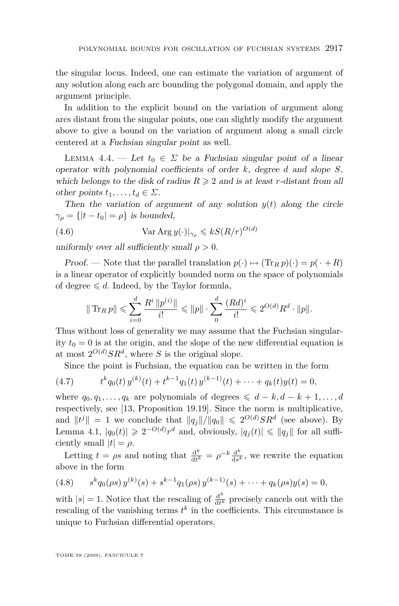<span id="page-27-0"></span>the singular locus. Indeed, one can estimate the variation of argument of any solution along each arc bounding the polygonal domain, and apply the argument principle.

In addition to the explicit bound on the variation of argument along arcs distant from the singular points, one can slightly modify the argument above to give a bound on the variation of argument along a small circle centered at a Fuchsian singular point as well.

LEMMA 4.4. — Let  $t_0 \in \Sigma$  be a Fuchsian singular point of a linear operator with polynomial coefficients of order *k*, degree *d* and slope *S*, which belongs to the disk of radius  $R \geqslant 2$  and is at least *r*-distant from all other points  $t_1, \ldots, t_d \in \Sigma$ .

Then the variation of argument of any solution  $y(t)$  along the circle  $\gamma_{\rho} = \{|t - t_0| = \rho\}$  is bounded,

(4.6) 
$$
\operatorname{Var} \operatorname{Arg} y(\cdot)|_{\gamma_{\rho}} \leqslant k S(R/r)^{O(d)}
$$

uniformly over all sufficiently small  $\rho > 0$ .

Proof. — Note that the parallel translation  $p(\cdot) \mapsto (\text{Tr}_R p)(\cdot) = p(\cdot + R)$ is a linear operator of explicitly bounded norm on the space of polynomials of degree  $\leq d$ . Indeed, by the Taylor formula,

$$
\|\operatorname{Tr}_R p\| \leqslant \sum_{i=0}^d \frac{R^i \|p^{(i)}\|}{i!} \leqslant \|p\| \cdot \sum_0^d \frac{(Rd)^i}{i!} \leqslant 2^{O(d)} R^d \cdot \|p\|.
$$

Thus without loss of generality we may assume that the Fuchsian singularity  $t_0 = 0$  is at the origin, and the slope of the new differential equation is at most  $2^{O(d)}SR^d$ , where *S* is the original slope.

Since the point is Fuchsian, the equation can be written in the form

(4.7) 
$$
t^{k}q_{0}(t)y^{(k)}(t) + t^{k-1}q_{1}(t)y^{(k-1)}(t) + \cdots + q_{k}(t)y(t) = 0,
$$

where  $q_0, q_1, \ldots, q_k$  are polynomials of degrees  $\leq d - k, d - k + 1, \ldots, d$ respectively, see [\[13,](#page-35-0) Proposition 19.19]. Since the norm is multiplicative, and  $||t^j|| = 1$  we conclude that  $||q_j||/||q_0|| \leq 2^{O(d)}SR^d$  (see above). By Lemma [4.1,](#page-24-0)  $|q_0(t)| \geq 2^{-O(d)}r^d$  and, obviously,  $|q_j(t)| \leq |q_j|$  for all sufficiently small  $|t| = \rho$ .

Letting  $t = \rho s$  and noting that  $\frac{d^k}{dt^k}$  $\frac{d^k}{dt^k} = \rho^{-k} \frac{d^k}{ds^k}$  $\frac{d^{n}}{ds^{k}}$ , we rewrite the equation above in the form

(4.8) 
$$
s^k q_0(\rho s) y^{(k)}(s) + s^{k-1} q_1(\rho s) y^{(k-1)}(s) + \cdots + q_k(\rho s) y(s) = 0,
$$

with  $|s| = 1$ . Notice that the rescaling of  $\frac{d^k}{dt^k}$  $\frac{d^k}{dt^k}$  precisely cancels out with the rescaling of the vanishing terms  $t^k$  in the coefficients. This circumstance is unique to Fuchsian differential operators.

TOME 59 (2009), FASCICULE 7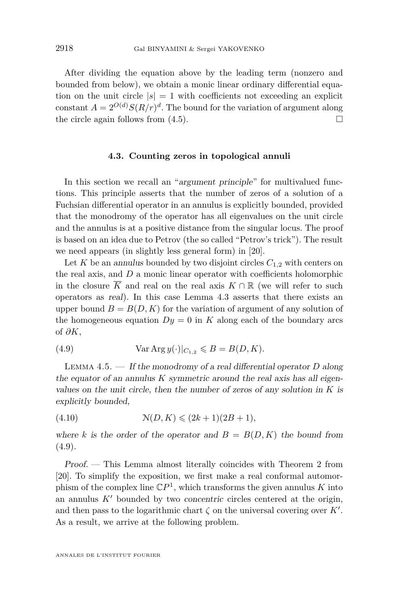<span id="page-28-0"></span>After dividing the equation above by the leading term (nonzero and bounded from below), we obtain a monic linear ordinary differential equation on the unit circle  $|s| = 1$  with coefficients not exceeding an explicit constant  $A = 2^{O(d)} S(R/r)^d$ . The bound for the variation of argument along the circle again follows from  $(4.5)$ .

#### **4.3. Counting zeros in topological annuli**

In this section we recall an "argument principle" for multivalued functions. This principle asserts that the number of zeros of a solution of a Fuchsian differential operator in an annulus is explicitly bounded, provided that the monodromy of the operator has all eigenvalues on the unit circle and the annulus is at a positive distance from the singular locus. The proof is based on an idea due to Petrov (the so called "Petrov's trick"). The result we need appears (in slightly less general form) in [\[20\]](#page-36-0).

Let *K* be an annulus bounded by two disjoint circles  $C_{1,2}$  with centers on the real axis, and *D* a monic linear operator with coefficients holomorphic in the closure  $\overline{K}$  and real on the real axis  $K \cap \mathbb{R}$  (we will refer to such operators as real). In this case Lemma [4.3](#page-26-0) asserts that there exists an upper bound  $B = B(D, K)$  for the variation of argument of any solution of the homogeneous equation  $Dy = 0$  in *K* along each of the boundary arcs of *∂K*,

(4.9) 
$$
\text{Var Arg } y(\cdot)|_{C_{1,2}} \leqslant B = B(D, K).
$$

Lemma 4.5. — If the monodromy of a real differential operator *D* along the equator of an annulus *K* symmetric around the real axis has all eigenvalues on the unit circle, then the number of zeros of any solution in *K* is explicitly bounded,

(4.10) 
$$
\mathcal{N}(D, K) \leq (2k+1)(2B+1),
$$

where *k* is the order of the operator and  $B = B(D, K)$  the bound from  $(4.9).$ 

Proof. — This Lemma almost literally coincides with Theorem 2 from [\[20\]](#page-36-0). To simplify the exposition, we first make a real conformal automorphism of the complex line  $\mathbb{C}P^1$ , which transforms the given annulus *K* into an annulus  $K'$  bounded by two *concentric* circles centered at the origin, and then pass to the logarithmic chart  $\zeta$  on the universal covering over  $K'$ . As a result, we arrive at the following problem.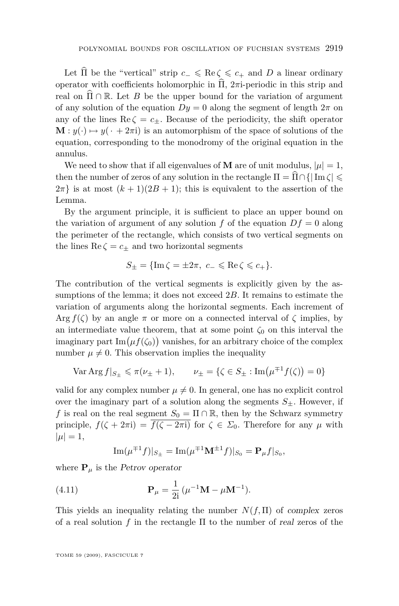Let  $\widehat{\Pi}$  be the "vertical" strip  $c_-\leq \text{Re}\,\zeta \leq c_+$  and  $D$  a linear ordinary operator with coefficients holomorphic in  $\hat{\Pi}$ ,  $2\pi$ i-periodic in this strip and real on  $\Pi \cap \mathbb{R}$ . Let *B* be the upper bound for the variation of argument of any solution of the equation  $Dy = 0$  along the segment of length  $2\pi$  on any of the lines  $\text{Re}\,\zeta = c_+$ . Because of the periodicity, the shift operator  $\mathbf{M} : y(\cdot) \mapsto y(\cdot + 2\pi i)$  is an automorphism of the space of solutions of the equation, corresponding to the monodromy of the original equation in the annulus.

We need to show that if all eigenvalues of **M** are of unit modulus,  $|\mu| = 1$ , then the number of zeros of any solution in the rectangle  $\Pi = \prod_{i=1}^{n} \cap \{ |Im \zeta| \leq \frac{1}{n} \}$  $2\pi$ } is at most  $(k+1)(2B+1)$ ; this is equivalent to the assertion of the Lemma.

By the argument principle, it is sufficient to place an upper bound on the variation of argument of any solution  $f$  of the equation  $Df = 0$  along the perimeter of the rectangle, which consists of two vertical segments on the lines  $\text{Re}\,\zeta = c_{\pm}$  and two horizontal segments

$$
S_{\pm}=\{\mathop{\rm Im}\nolimits\zeta=\pm2\pi,\ c_-\leqslant\mathop{\rm Re}\nolimits\zeta\leqslant c_+\}.
$$

The contribution of the vertical segments is explicitly given by the assumptions of the lemma; it does not exceed 2*B*. It remains to estimate the variation of arguments along the horizontal segments. Each increment of Arg  $f(\zeta)$  by an angle  $\pi$  or more on a connected interval of  $\zeta$  implies, by an intermediate value theorem, that at some point  $\zeta_0$  on this interval the imaginary part  $\text{Im}(\mu f(\zeta_0))$  vanishes, for an arbitrary choice of the complex number  $\mu \neq 0$ . This observation implies the inequality

$$
\text{Var } \text{Arg } f|_{S_{\pm}} \leq \pi(\nu_{\pm} + 1), \qquad \nu_{\pm} = \{ \zeta \in S_{\pm} : \text{Im}(\mu^{\mp 1} f(\zeta)) = 0 \}
$$

valid for any complex number  $\mu \neq 0$ . In general, one has no explicit control over the imaginary part of a solution along the segments  $S_{\pm}$ . However, if *f* is real on the real segment  $S_0 = \Pi \cap \mathbb{R}$ , then by the Schwarz symmetry principle,  $f(\zeta + 2\pi i) = \overline{f(\zeta - 2\pi i)}$  for  $\zeta \in \Sigma_0$ . Therefore for any  $\mu$  with  $|\mu| = 1$ ,

$$
Im(\mu^{\mp 1}f)|_{S_{\pm}} = Im(\mu^{\mp 1}M^{\pm 1}f)|_{S_0} = \mathbf{P}_{\mu}f|_{S_0},
$$

where  $P_\mu$  is the Petrov operator

(4.11) 
$$
\mathbf{P}_{\mu} = \frac{1}{2i} (\mu^{-1} \mathbf{M} - \mu \mathbf{M}^{-1}).
$$

This yields an inequality relating the number  $N(f,\Pi)$  of complex zeros of a real solution *f* in the rectangle Π to the number of real zeros of the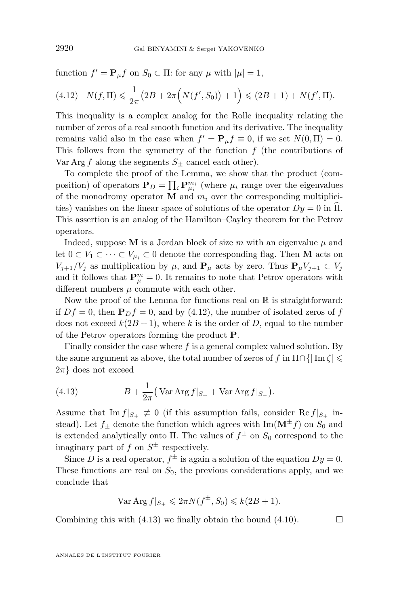function  $f' = \mathbf{P}_{\mu} f$  on  $S_0 \subset \Pi$ : for any  $\mu$  with  $|\mu| = 1$ ,

$$
(4.12) \quad N(f,\Pi) \leq \frac{1}{2\pi} \left( 2B + 2\pi \Big( N(f',S_0) \Big) + 1 \right) \leq (2B+1) + N(f',\Pi).
$$

This inequality is a complex analog for the Rolle inequality relating the number of zeros of a real smooth function and its derivative. The inequality remains valid also in the case when  $f' = \mathbf{P}_{\mu} f \equiv 0$ , if we set  $N(0, \Pi) = 0$ . This follows from the symmetry of the function *f* (the contributions of Var Arg  $f$  along the segments  $S_{+}$  cancel each other).

To complete the proof of the Lemma, we show that the product (composition) of operators  $P_D = \prod_i P_{\mu_i}^{m_i}$  (where  $\mu_i$  range over the eigenvalues of the monodromy operator **M** and  $m_i$  over the corresponding multiplicities) vanishes on the linear space of solutions of the operator  $Dy = 0$  in  $\Pi$ . This assertion is an analog of the Hamilton–Cayley theorem for the Petrov operators.

Indeed, suppose **M** is a Jordan block of size  $m$  with an eigenvalue  $\mu$  and let  $0 \subset V_1 \subset \cdots \subset V_{\mu_i} \subset 0$  denote the corresponding flag. Then **M** acts on *V*<sub>*j*+1</sub>/*V*<sub>*j*</sub> as multiplication by  $\mu$ , and  $P_\mu$  acts by zero. Thus  $P_\mu V_{j+1} \subset V_j$ and it follows that  $P_{\mu}^{m} = 0$ . It remains to note that Petrov operators with different numbers  $\mu$  commute with each other.

Now the proof of the Lemma for functions real on  $\mathbb R$  is straightforward: if  $Df = 0$ , then  $P_D f = 0$ , and by (4.12), the number of isolated zeros of f does not exceed  $k(2B+1)$ , where *k* is the order of *D*, equal to the number of the Petrov operators forming the product **P**.

Finally consider the case where *f* is a general complex valued solution. By the same argument as above, the total number of zeros of *f* in  $\Pi \cap \{|\operatorname{Im} \zeta| \leq \epsilon\}$ 2*π}* does not exceed

(4.13) 
$$
B + \frac{1}{2\pi} \left( \text{Var Arg } f|_{S_+} + \text{Var Arg } f|_{S_-} \right).
$$

Assume that  $\text{Im } f|_{S_+} \neq 0$  (if this assumption fails, consider Re  $f|_{S_+}$  instead). Let  $f_{\pm}$  denote the function which agrees with Im( $\mathbf{M}^{\pm}f$ ) on  $S_0$  and is extended analytically onto  $\Pi$ . The values of  $f^{\pm}$  on  $S_0$  correspond to the imaginary part of  $f$  on  $S^{\pm}$  respectively.

Since *D* is a real operator,  $f^{\pm}$  is again a solution of the equation  $Dy = 0$ . These functions are real on  $S_0$ , the previous considerations apply, and we conclude that

$$
\text{Var } \text{Arg } f|_{S_{\pm}} \leqslant 2\pi N(f^{\pm}, S_0) \leqslant k(2B + 1).
$$

Combining this with  $(4.13)$  we finally obtain the bound  $(4.10)$ .

ANNALES DE L'INSTITUT FOURIER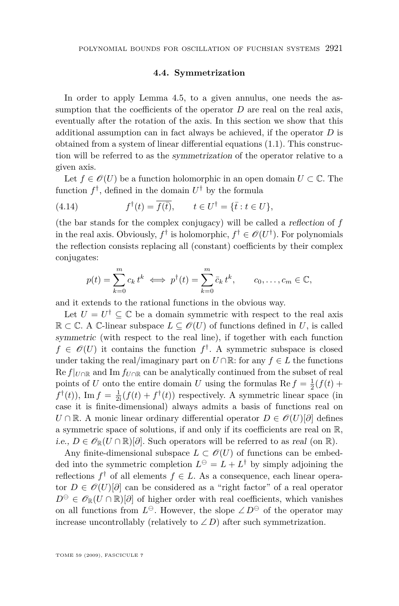#### **4.4. Symmetrization**

<span id="page-31-0"></span>In order to apply Lemma [4.5,](#page-28-0) to a given annulus, one needs the assumption that the coefficients of the operator  $D$  are real on the real axis, eventually after the rotation of the axis. In this section we show that this additional assumption can in fact always be achieved, if the operator *D* is obtained from a system of linear differential equations [\(1.1\)](#page-2-0). This construction will be referred to as the symmetrization of the operator relative to a given axis.

Let  $f \in \mathcal{O}(U)$  be a function holomorphic in an open domain  $U \subset \mathbb{C}$ . The function  $f^{\dagger}$ , defined in the domain  $U^{\dagger}$  by the formula

(4.14) 
$$
f^{\dagger}(t) = \overline{f(\overline{t})}, \qquad t \in U^{\dagger} = \{\overline{t} : t \in U\},
$$

(the bar stands for the complex conjugacy) will be called a reflection of *f* in the real axis. Obviously,  $f^{\dagger}$  is holomorphic,  $f^{\dagger} \in \mathscr{O}(U^{\dagger})$ . For polynomials the reflection consists replacing all (constant) coefficients by their complex conjugates:

$$
p(t) = \sum_{k=0}^{m} c_k t^k \iff p^{\dagger}(t) = \sum_{k=0}^{m} \bar{c}_k t^k, \qquad c_0, \dots, c_m \in \mathbb{C},
$$

and it extends to the rational functions in the obvious way.

Let  $U = U^{\dagger} \subseteq \mathbb{C}$  be a domain symmetric with respect to the real axis  $\mathbb{R}$  ⊂ C. A C-linear subspace  $L \subseteq \mathcal{O}(U)$  of functions defined in *U*, is called symmetric (with respect to the real line), if together with each function  $f \in \mathcal{O}(U)$  it contains the function  $f^{\dagger}$ . A symmetric subspace is closed under taking the real/imaginary part on  $U \cap \mathbb{R}$ : for any  $f \in L$  the functions  $\text{Re } f|_{U \cap \mathbb{R}}$  and  $\text{Im } f_{U \cap \mathbb{R}}$  can be analytically continued from the subset of real points of *U* onto the entire domain *U* using the formulas Re  $f = \frac{1}{2}(f(t) +$  $f^{\dagger}(t)$ ), Im  $f = \frac{1}{2i}(f(t) + f^{\dagger}(t))$  respectively. A symmetric linear space (in case it is finite-dimensional) always admits a basis of functions real on *U* ∩ R. A monic linear ordinary differential operator  $D \in \mathcal{O}(U)[\partial]$  defines a symmetric space of solutions, if and only if its coefficients are real on R, *i.e.,*  $D \in \mathscr{O}_{\mathbb{R}}(U \cap \mathbb{R})[\partial]$ . Such operators will be referred to as real (on ℝ).

Any finite-dimensional subspace  $L \subset \mathcal{O}(U)$  of functions can be embedded into the symmetric completion  $L^{\ominus} = L + L^{\dagger}$  by simply adjoining the reflections  $f^{\dagger}$  of all elements  $f \in L$ . As a consequence, each linear operator  $D \in \mathcal{O}(U)[\partial]$  can be considered as a "right factor" of a real operator  $D^{\ominus} \in \mathscr{O}_{\mathbb{R}}(U \cap \mathbb{R})[\partial]$  of higher order with real coefficients, which vanishes on all functions from  $L^{\ominus}$ . However, the slope  $\angle D^{\ominus}$  of the operator may increase uncontrollably (relatively to  $\angle D$ ) after such symmetrization.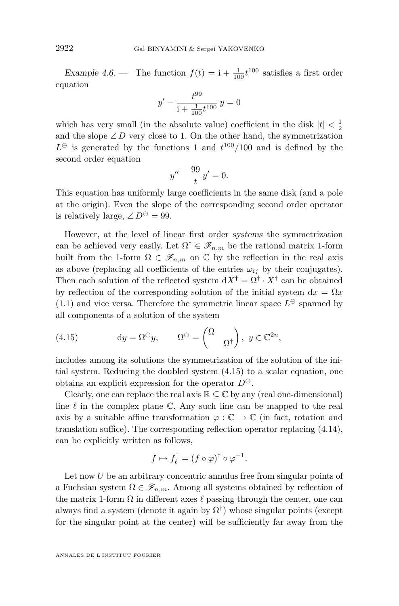<span id="page-32-0"></span>Example 4.6. — The function  $f(t) = 1 + \frac{1}{100} t^{100}$  satisfies a first order equation

$$
y' - \frac{t^{99}}{1 + \frac{1}{100}t^{100}}y = 0
$$

which has very small (in the absolute value) coefficient in the disk  $|t| < \frac{1}{2}$ and the slope  $\angle D$  very close to 1. On the other hand, the symmetrization  $L^{\ominus}$  is generated by the functions 1 and  $t^{100}/100$  and is defined by the second order equation

$$
y'' - \frac{99}{t}y' = 0.
$$

This equation has uniformly large coefficients in the same disk (and a pole at the origin). Even the slope of the corresponding second order operator is relatively large,  $\angle D^{\ominus} = 99$ .

However, at the level of linear first order systems the symmetrization can be achieved very easily. Let  $\Omega^{\dagger} \in \mathscr{F}_{n,m}$  be the rational matrix 1-form built from the 1-form  $\Omega \in \mathscr{F}_{n,m}$  on  $\mathbb C$  by the reflection in the real axis as above (replacing all coefficients of the entries  $\omega_{ij}$  by their conjugates). Then each solution of the reflected system  $dX^{\dagger} = \Omega^{\dagger} \cdot X^{\dagger}$  can be obtained by reflection of the corresponding solution of the initial system  $dx = \Omega x$  $(1.1)$  and vice versa. Therefore the symmetric linear space  $L^{\ominus}$  spanned by all components of a solution of the system

(4.15) 
$$
dy = \Omega^{\ominus} y, \qquad \Omega^{\ominus} = \begin{pmatrix} \Omega \\ & \Omega^{\dagger} \end{pmatrix}, y \in \mathbb{C}^{2n},
$$

includes among its solutions the symmetrization of the solution of the initial system. Reducing the doubled system (4.15) to a scalar equation, one obtains an explicit expression for the operator  $D^{\ominus}$ .

Clearly, one can replace the real axis  $\mathbb{R} \subseteq \mathbb{C}$  by any (real one-dimensional) line  $\ell$  in the complex plane  $\mathbb{C}$ . Any such line can be mapped to the real axis by a suitable affine transformation  $\varphi : \mathbb{C} \to \mathbb{C}$  (in fact, rotation and translation suffice). The corresponding reflection operator replacing [\(4.14\)](#page-31-0), can be explicitly written as follows,

$$
f \mapsto f_{\ell}^{\dagger} = (f \circ \varphi)^{\dagger} \circ \varphi^{-1}.
$$

Let now *U* be an arbitrary concentric annulus free from singular points of a Fuchsian system  $\Omega \in \mathscr{F}_{n,m}$ . Among all systems obtained by reflection of the matrix 1-form  $\Omega$  in different axes  $\ell$  passing through the center, one can always find a system (denote it again by  $\Omega^{\dagger}$ ) whose singular points (except for the singular point at the center) will be sufficiently far away from the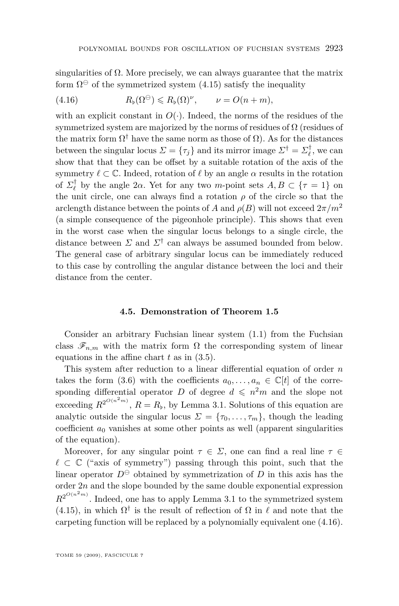<span id="page-33-0"></span>singularities of  $\Omega$ . More precisely, we can always guarantee that the matrix form  $\Omega^{\ominus}$  of the symmetrized system [\(4.15\)](#page-32-0) satisfy the inequality

(4.16) 
$$
R_{\flat}(\Omega^{\ominus}) \leq R_{\flat}(\Omega)^{\nu}, \qquad \nu = O(n+m),
$$

with an explicit constant in  $O(\cdot)$ . Indeed, the norms of the residues of the symmetrized system are majorized by the norms of residues of  $\Omega$  (residues of the matrix form  $\Omega^{\dagger}$  have the same norm as those of  $\Omega$ ). As for the distances between the singular locus  $\Sigma = {\tau_j}$  and its mirror image  $\Sigma^{\dagger} = \Sigma_{\ell}^{\dagger}$ , we can show that that they can be offset by a suitable rotation of the axis of the symmetry  $\ell \subset \mathbb{C}$ . Indeed, rotation of  $\ell$  by an angle  $\alpha$  results in the rotation of  $\Sigma_{\ell}^{\dagger}$  by the angle 2 $\alpha$ . Yet for any two *m*-point sets  $A, B \subset \{\tau = 1\}$  on the unit circle, one can always find a rotation  $\rho$  of the circle so that the arclength distance between the points of *A* and  $\rho(B)$  will not exceed  $2\pi/m^2$ (a simple consequence of the pigeonhole principle). This shows that even in the worst case when the singular locus belongs to a single circle, the distance between *Σ* and *Σ†* can always be assumed bounded from below. The general case of arbitrary singular locus can be immediately reduced to this case by controlling the angular distance between the loci and their distance from the center.

#### **4.5. Demonstration of Theorem [1.5](#page-5-0)**

Consider an arbitrary Fuchsian linear system [\(1.1\)](#page-2-0) from the Fuchsian class  $\mathscr{F}_{n,m}$  with the matrix form  $\Omega$  the corresponding system of linear equations in the affine chart *t* as in [\(3.5\)](#page-18-0).

This system after reduction to a linear differential equation of order *n* takes the form [\(3.6\)](#page-20-0) with the coefficients  $a_0, \ldots, a_n \in \mathbb{C}[t]$  of the corresponding differential operator *D* of degree  $d \leq n^2m$  and the slope not exceeding  $R^{2^{O(n^2m)}}$ ,  $R = R_b$ , by Lemma [3.1.](#page-17-0) Solutions of this equation are analytic outside the singular locus  $\Sigma = {\tau_0, \ldots, \tau_m}$ , though the leading coefficient  $a_0$  vanishes at some other points as well (apparent singularities) of the equation).

Moreover, for any singular point  $\tau \in \Sigma$ , one can find a real line  $\tau \in$  $\ell \subset \mathbb{C}$  ("axis of symmetry") passing through this point, such that the linear operator  $D^{\ominus}$  obtained by symmetrization of *D* in this axis has the order 2*n* and the slope bounded by the same double exponential expression  $R^{2^{O(n^2m)}}$ . Indeed, one has to apply Lemma [3.1](#page-17-0) to the symmetrized system [\(4.15\)](#page-32-0), in which  $\Omega^{\dagger}$  is the result of reflection of  $\Omega$  in  $\ell$  and note that the carpeting function will be replaced by a polynomially equivalent one (4.16).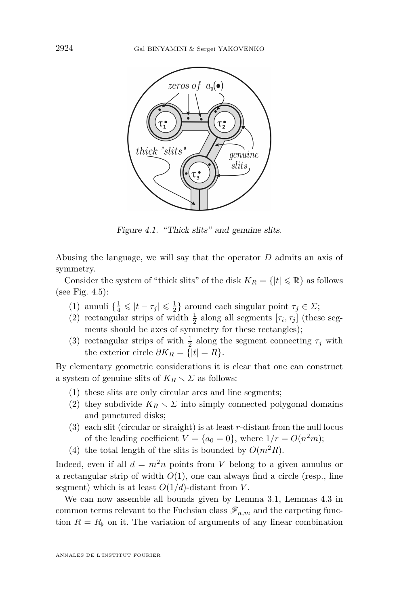

Figure 4.1. "Thick slits" and genuine slits.

Abusing the language, we will say that the operator *D* admits an axis of symmetry.

Consider the system of "thick slits" of the disk  $K_R = \{|t| \leq \mathbb{R}\}\$ as follows (see Fig. [4.5\)](#page-33-0):

- (1) annuli  $\{\frac{1}{4} \leq |t \tau_j| \leq \frac{1}{2}\}$  around each singular point  $\tau_j \in \Sigma$ ;
- (2) rectangular strips of width  $\frac{1}{2}$  along all segments  $[\tau_i, \tau_j]$  (these segments should be axes of symmetry for these rectangles);
- (3) rectangular strips of with  $\frac{1}{2}$  along the segment connecting  $\tau_j$  with the exterior circle  $\partial K_R = \{|t| = R\}.$

By elementary geometric considerations it is clear that one can construct a system of genuine slits of  $K_R \setminus \Sigma$  as follows:

- (1) these slits are only circular arcs and line segments;
- (2) they subdivide  $K_R \setminus \Sigma$  into simply connected polygonal domains and punctured disks;
- (3) each slit (circular or straight) is at least *r*-distant from the null locus of the leading coefficient  $V = \{a_0 = 0\}$ , where  $1/r = O(n^2m)$ ;
- (4) the total length of the slits is bounded by  $O(m^2R)$ .

Indeed, even if all  $d = m^2n$  points from *V* belong to a given annulus or a rectangular strip of width  $O(1)$ , one can always find a circle (resp., line segment) which is at least  $O(1/d)$ -distant from *V*.

We can now assemble all bounds given by Lemma [3.1,](#page-17-0) Lemmas [4.3](#page-26-0) in common terms relevant to the Fuchsian class  $\mathscr{F}_{n,m}$  and the carpeting function  $R = R$ <sup> $\flat$ </sup> on it. The variation of arguments of any linear combination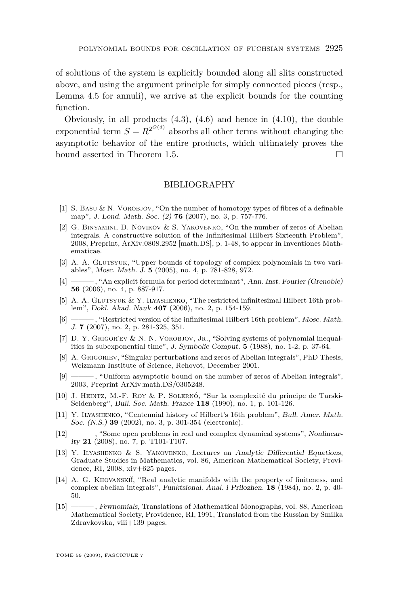<span id="page-35-0"></span>of solutions of the system is explicitly bounded along all slits constructed above, and using the argument principle for simply connected pieces (resp., Lemma [4.5](#page-28-0) for annuli), we arrive at the explicit bounds for the counting function.

Obviously, in all products  $(4.3)$ ,  $(4.6)$  and hence in  $(4.10)$ , the double exponential term  $S = R^{2^{O(d)}}$  absorbs all other terms without changing the asymptotic behavior of the entire products, which ultimately proves the bound asserted in Theorem [1.5.](#page-5-0)

#### BIBLIOGRAPHY

- [1] S. BASU  $\&$  N. VOROBJOV, "On the number of homotopy types of fibres of a definable map", J. Lond. Math. Soc. (2) **76** (2007), no. 3, p. 757-776.
- [2] G. Binyamini, D. Novikov & S. Yakovenko, "On the number of zeros of Abelian integrals. A constructive solution of the Infinitesimal Hilbert Sixteenth Problem", 2008, Preprint, ArXiv:0808.2952 [math.DS], p. 1-48, to appear in Inventiones Mathematicae.
- [3] A. A. Glutsyuk, "Upper bounds of topology of complex polynomials in two variables", Mosc. Math. J. **5** (2005), no. 4, p. 781-828, 972.
- [4] ——— , "An explicit formula for period determinant", Ann. Inst. Fourier (Grenoble) **56** (2006), no. 4, p. 887-917.
- [5] A. A. Glutsyuk & Y. Ilyashenko, "The restricted infinitesimal Hilbert 16th problem", Dokl. Akad. Nauk **407** (2006), no. 2, p. 154-159.
- [6] ——— , "Restricted version of the infinitesimal Hilbert 16th problem", Mosc. Math. J. **7** (2007), no. 2, p. 281-325, 351.
- [7] D. Y. GRIGOR'EV & N. N. VOROBJOV, JR., "Solving systems of polynomial inequalities in subexponential time", J. Symbolic Comput. **5** (1988), no. 1-2, p. 37-64.
- [8] A. Grigoriev, "Singular perturbations and zeros of Abelian integrals", PhD Thesis, Weizmann Institute of Science, Rehovot, December 2001.
- [9] ——— , "Uniform asymptotic bound on the number of zeros of Abelian integrals", 2003, Preprint ArXiv:math.DS/0305248.
- [10] J. Heintz, M.-F. Roy & P. Solernó, "Sur la complexité du principe de Tarski-Seidenberg", Bull. Soc. Math. France **118** (1990), no. 1, p. 101-126.
- [11] Y. ILYASHENKO, "Centennial history of Hilbert's 16th problem", Bull. Amer. Math. Soc. (N.S.) **39** (2002), no. 3, p. 301-354 (electronic).
- [12] ——— , "Some open problems in real and complex dynamical systems", Nonlinearity **21** (2008), no. 7, p. T101-T107.
- [13] Y. Ilyashenko & S. Yakovenko, Lectures on Analytic Differential Equations, Graduate Studies in Mathematics, vol. 86, American Mathematical Society, Providence, RI, 2008, xiv+625 pages.
- [14] A. G. KHOVANSKII, "Real analytic manifolds with the property of finiteness, and complex abelian integrals", Funktsional. Anal. i Prilozhen. **18** (1984), no. 2, p. 40- 50.
- [15] ——— , Fewnomials, Translations of Mathematical Monographs, vol. 88, American Mathematical Society, Providence, RI, 1991, Translated from the Russian by Smilka Zdravkovska, viii+139 pages.